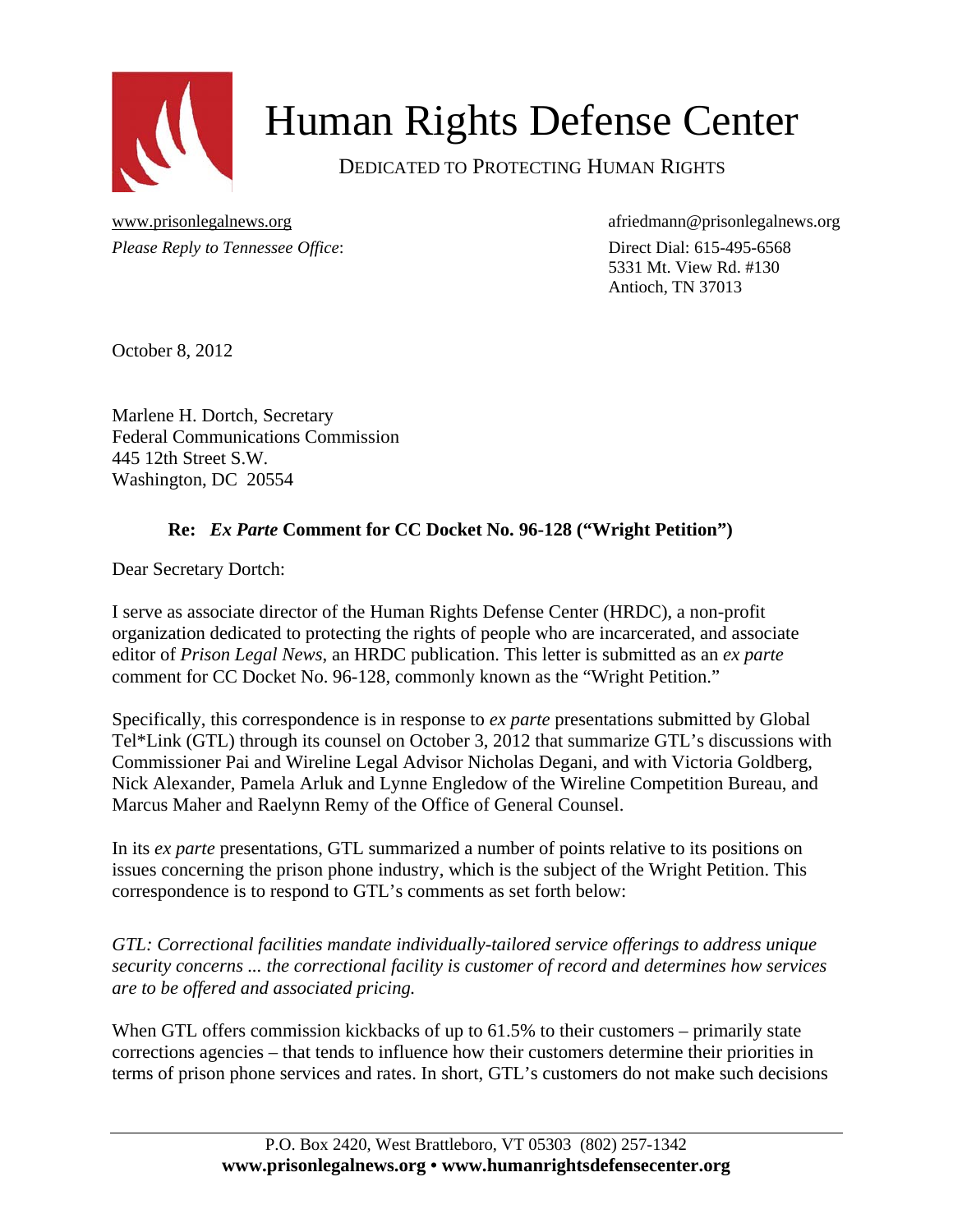

# Human Rights Defense Center

DEDICATED TO PROTECTING HUMAN RIGHTS

*Please Reply to Tennessee Office*: Direct Dial: 615-495-6568

[www.prisonlegalnews.org](http://www.prisonlegalnews.org/) afriedmann@prisonlegalnews.org afriedmann@prisonlegalnews.org

 5331 Mt. View Rd. #130 Antioch, TN 37013

October 8, 2012

Marlene H. Dortch, Secretary Federal Communications Commission 445 12th Street S.W. Washington, DC 20554

### **Re:** *Ex Parte* **Comment for CC Docket No. 96-128 ("Wright Petition")**

Dear Secretary Dortch:

I serve as associate director of the Human Rights Defense Center (HRDC), a non-profit organization dedicated to protecting the rights of people who are incarcerated, and associate editor of *Prison Legal News*, an HRDC publication. This letter is submitted as an *ex parte* comment for CC Docket No. 96-128, commonly known as the "Wright Petition."

Specifically, this correspondence is in response to *ex parte* presentations submitted by Global Tel\*Link (GTL) through its counsel on October 3, 2012 that summarize GTL's discussions with Commissioner Pai and Wireline Legal Advisor Nicholas Degani, and with Victoria Goldberg, Nick Alexander, Pamela Arluk and Lynne Engledow of the Wireline Competition Bureau, and Marcus Maher and Raelynn Remy of the Office of General Counsel.

In its *ex parte* presentations, GTL summarized a number of points relative to its positions on issues concerning the prison phone industry, which is the subject of the Wright Petition. This correspondence is to respond to GTL's comments as set forth below:

*GTL: Correctional facilities mandate individually-tailored service offerings to address unique security concerns ... the correctional facility is customer of record and determines how services are to be offered and associated pricing.* 

When GTL offers commission kickbacks of up to 61.5% to their customers – primarily state corrections agencies – that tends to influence how their customers determine their priorities in terms of prison phone services and rates. In short, GTL's customers do not make such decisions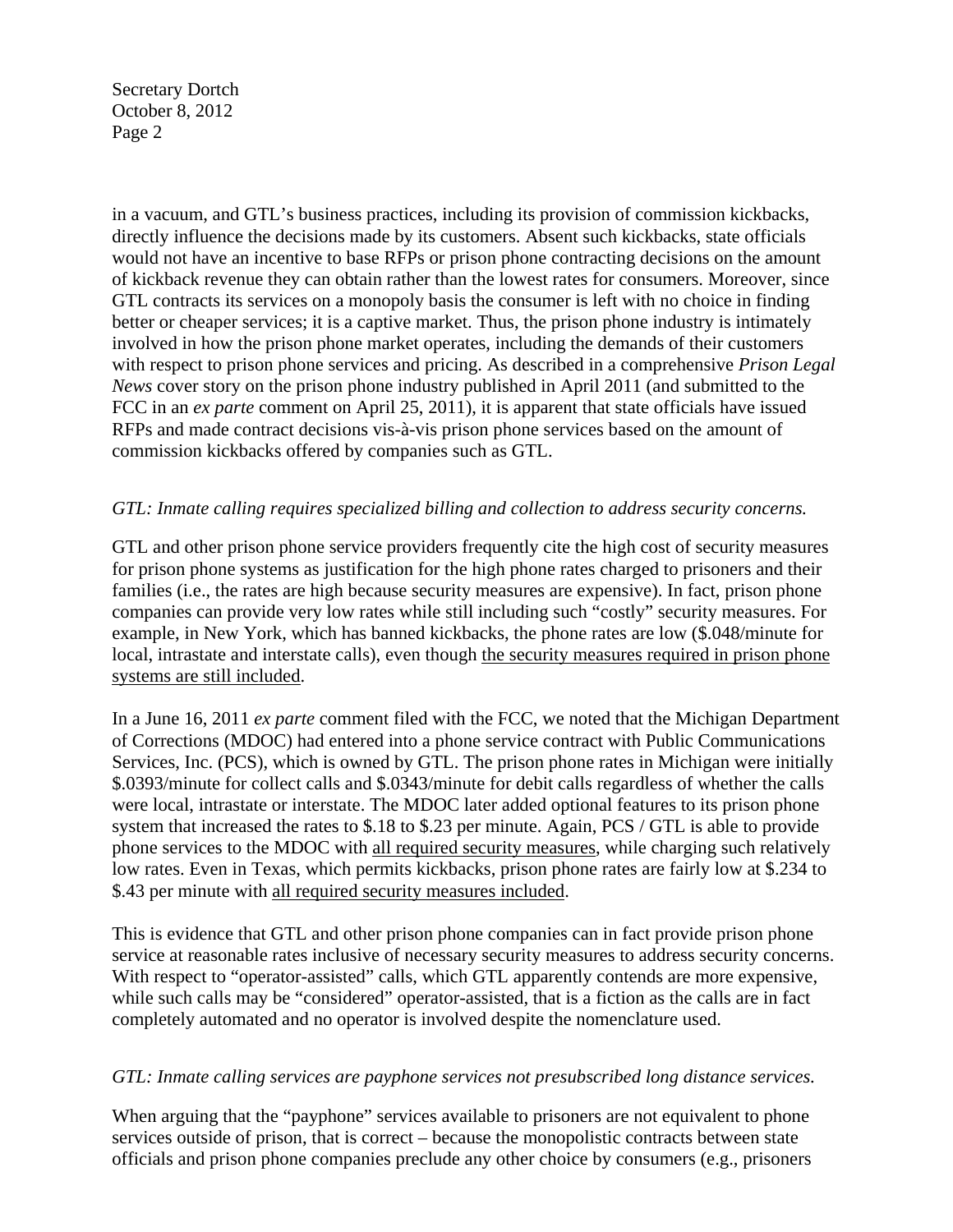in a vacuum, and GTL's business practices, including its provision of commission kickbacks, directly influence the decisions made by its customers. Absent such kickbacks, state officials would not have an incentive to base RFPs or prison phone contracting decisions on the amount of kickback revenue they can obtain rather than the lowest rates for consumers. Moreover, since GTL contracts its services on a monopoly basis the consumer is left with no choice in finding better or cheaper services; it is a captive market. Thus, the prison phone industry is intimately involved in how the prison phone market operates, including the demands of their customers with respect to prison phone services and pricing. As described in a comprehensive *Prison Legal News* cover story on the prison phone industry published in April 2011 (and submitted to the FCC in an *ex parte* comment on April 25, 2011), it is apparent that state officials have issued RFPs and made contract decisions vis-à-vis prison phone services based on the amount of commission kickbacks offered by companies such as GTL.

#### *GTL: Inmate calling requires specialized billing and collection to address security concerns.*

GTL and other prison phone service providers frequently cite the high cost of security measures for prison phone systems as justification for the high phone rates charged to prisoners and their families (i.e., the rates are high because security measures are expensive). In fact, prison phone companies can provide very low rates while still including such "costly" security measures. For example, in New York, which has banned kickbacks, the phone rates are low (\$.048/minute for local, intrastate and interstate calls), even though the security measures required in prison phone systems are still included.

In a June 16, 2011 *ex parte* comment filed with the FCC, we noted that the Michigan Department of Corrections (MDOC) had entered into a phone service contract with Public Communications Services, Inc. (PCS), which is owned by GTL. The prison phone rates in Michigan were initially \$.0393/minute for collect calls and \$.0343/minute for debit calls regardless of whether the calls were local, intrastate or interstate. The MDOC later added optional features to its prison phone system that increased the rates to \$.18 to \$.23 per minute. Again, PCS / GTL is able to provide phone services to the MDOC with all required security measures, while charging such relatively low rates. Even in Texas, which permits kickbacks, prison phone rates are fairly low at \$.234 to \$.43 per minute with all required security measures included.

This is evidence that GTL and other prison phone companies can in fact provide prison phone service at reasonable rates inclusive of necessary security measures to address security concerns. With respect to "operator-assisted" calls, which GTL apparently contends are more expensive, while such calls may be "considered" operator-assisted, that is a fiction as the calls are in fact completely automated and no operator is involved despite the nomenclature used.

#### *GTL: Inmate calling services are payphone services not presubscribed long distance services.*

When arguing that the "payphone" services available to prisoners are not equivalent to phone services outside of prison, that is correct – because the monopolistic contracts between state officials and prison phone companies preclude any other choice by consumers (e.g., prisoners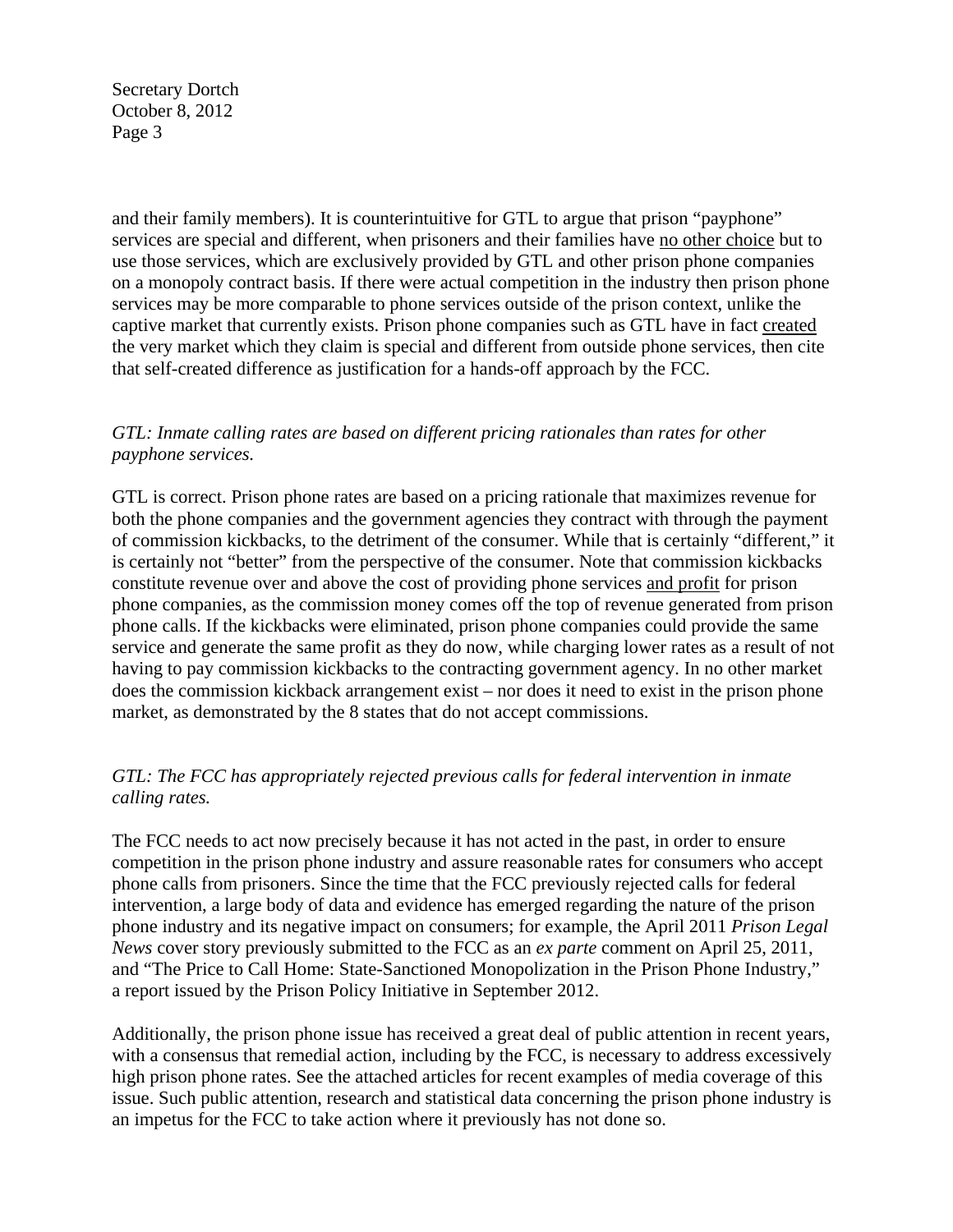and their family members). It is counterintuitive for GTL to argue that prison "payphone" services are special and different, when prisoners and their families have no other choice but to use those services, which are exclusively provided by GTL and other prison phone companies on a monopoly contract basis. If there were actual competition in the industry then prison phone services may be more comparable to phone services outside of the prison context, unlike the captive market that currently exists. Prison phone companies such as GTL have in fact created the very market which they claim is special and different from outside phone services, then cite that self-created difference as justification for a hands-off approach by the FCC.

#### *GTL: Inmate calling rates are based on different pricing rationales than rates for other payphone services.*

GTL is correct. Prison phone rates are based on a pricing rationale that maximizes revenue for both the phone companies and the government agencies they contract with through the payment of commission kickbacks, to the detriment of the consumer. While that is certainly "different," it is certainly not "better" from the perspective of the consumer. Note that commission kickbacks constitute revenue over and above the cost of providing phone services and profit for prison phone companies, as the commission money comes off the top of revenue generated from prison phone calls. If the kickbacks were eliminated, prison phone companies could provide the same service and generate the same profit as they do now, while charging lower rates as a result of not having to pay commission kickbacks to the contracting government agency. In no other market does the commission kickback arrangement exist – nor does it need to exist in the prison phone market, as demonstrated by the 8 states that do not accept commissions.

#### *GTL: The FCC has appropriately rejected previous calls for federal intervention in inmate calling rates.*

The FCC needs to act now precisely because it has not acted in the past, in order to ensure competition in the prison phone industry and assure reasonable rates for consumers who accept phone calls from prisoners. Since the time that the FCC previously rejected calls for federal intervention, a large body of data and evidence has emerged regarding the nature of the prison phone industry and its negative impact on consumers; for example, the April 2011 *Prison Legal News* cover story previously submitted to the FCC as an *ex parte* comment on April 25, 2011, and "The Price to Call Home: State-Sanctioned Monopolization in the Prison Phone Industry," a report issued by the Prison Policy Initiative in September 2012.

Additionally, the prison phone issue has received a great deal of public attention in recent years, with a consensus that remedial action, including by the FCC, is necessary to address excessively high prison phone rates. See the attached articles for recent examples of media coverage of this issue. Such public attention, research and statistical data concerning the prison phone industry is an impetus for the FCC to take action where it previously has not done so.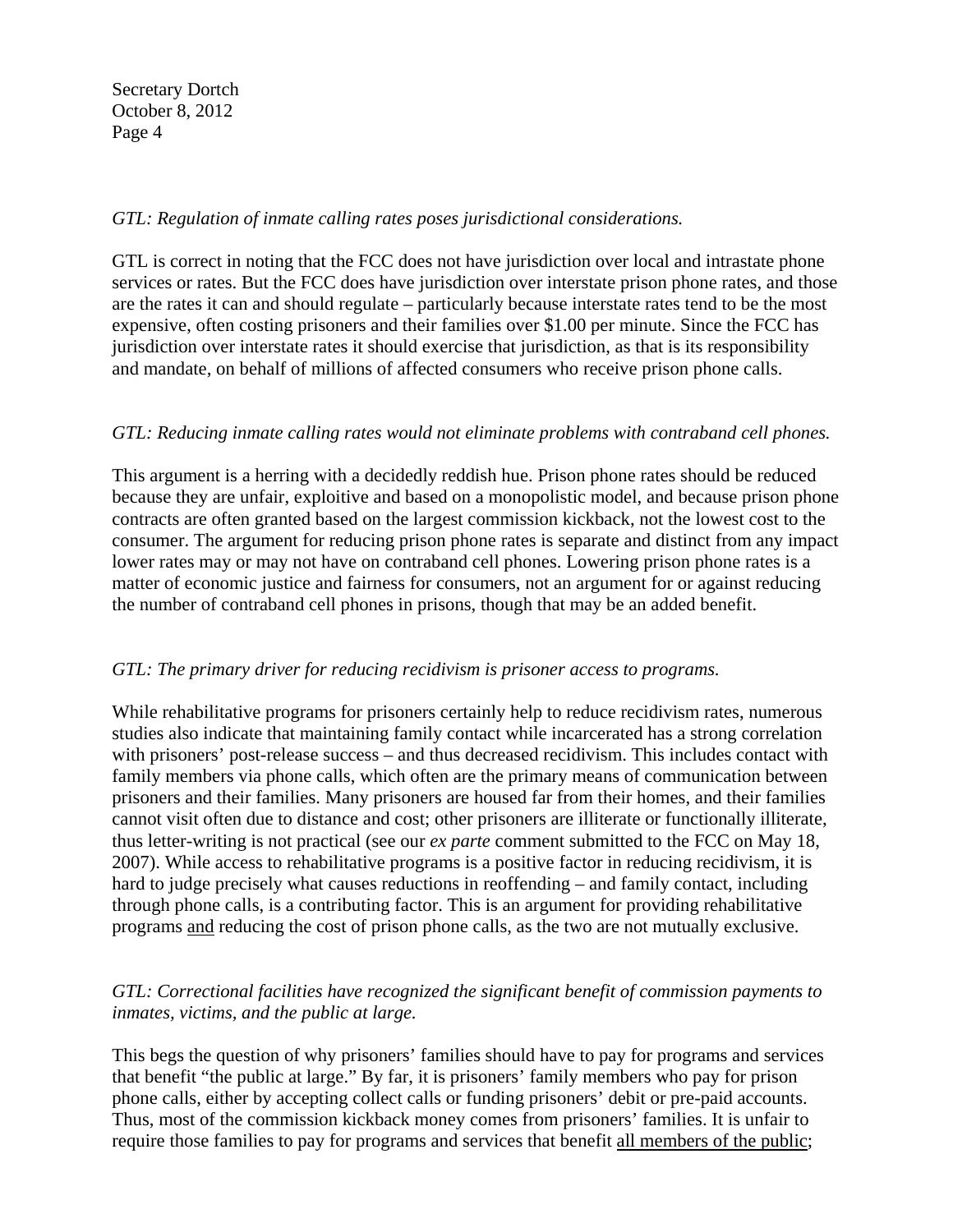#### *GTL: Regulation of inmate calling rates poses jurisdictional considerations.*

GTL is correct in noting that the FCC does not have jurisdiction over local and intrastate phone services or rates. But the FCC does have jurisdiction over interstate prison phone rates, and those are the rates it can and should regulate – particularly because interstate rates tend to be the most expensive, often costing prisoners and their families over \$1.00 per minute. Since the FCC has jurisdiction over interstate rates it should exercise that jurisdiction, as that is its responsibility and mandate, on behalf of millions of affected consumers who receive prison phone calls.

#### *GTL: Reducing inmate calling rates would not eliminate problems with contraband cell phones.*

This argument is a herring with a decidedly reddish hue. Prison phone rates should be reduced because they are unfair, exploitive and based on a monopolistic model, and because prison phone contracts are often granted based on the largest commission kickback, not the lowest cost to the consumer. The argument for reducing prison phone rates is separate and distinct from any impact lower rates may or may not have on contraband cell phones. Lowering prison phone rates is a matter of economic justice and fairness for consumers, not an argument for or against reducing the number of contraband cell phones in prisons, though that may be an added benefit.

#### *GTL: The primary driver for reducing recidivism is prisoner access to programs.*

While rehabilitative programs for prisoners certainly help to reduce recidivism rates, numerous studies also indicate that maintaining family contact while incarcerated has a strong correlation with prisoners' post-release success – and thus decreased recidivism. This includes contact with family members via phone calls, which often are the primary means of communication between prisoners and their families. Many prisoners are housed far from their homes, and their families cannot visit often due to distance and cost; other prisoners are illiterate or functionally illiterate, thus letter-writing is not practical (see our *ex parte* comment submitted to the FCC on May 18, 2007). While access to rehabilitative programs is a positive factor in reducing recidivism, it is hard to judge precisely what causes reductions in reoffending – and family contact, including through phone calls, is a contributing factor. This is an argument for providing rehabilitative programs and reducing the cost of prison phone calls, as the two are not mutually exclusive.

#### *GTL: Correctional facilities have recognized the significant benefit of commission payments to inmates, victims, and the public at large.*

This begs the question of why prisoners' families should have to pay for programs and services that benefit "the public at large." By far, it is prisoners' family members who pay for prison phone calls, either by accepting collect calls or funding prisoners' debit or pre-paid accounts. Thus, most of the commission kickback money comes from prisoners' families. It is unfair to require those families to pay for programs and services that benefit all members of the public;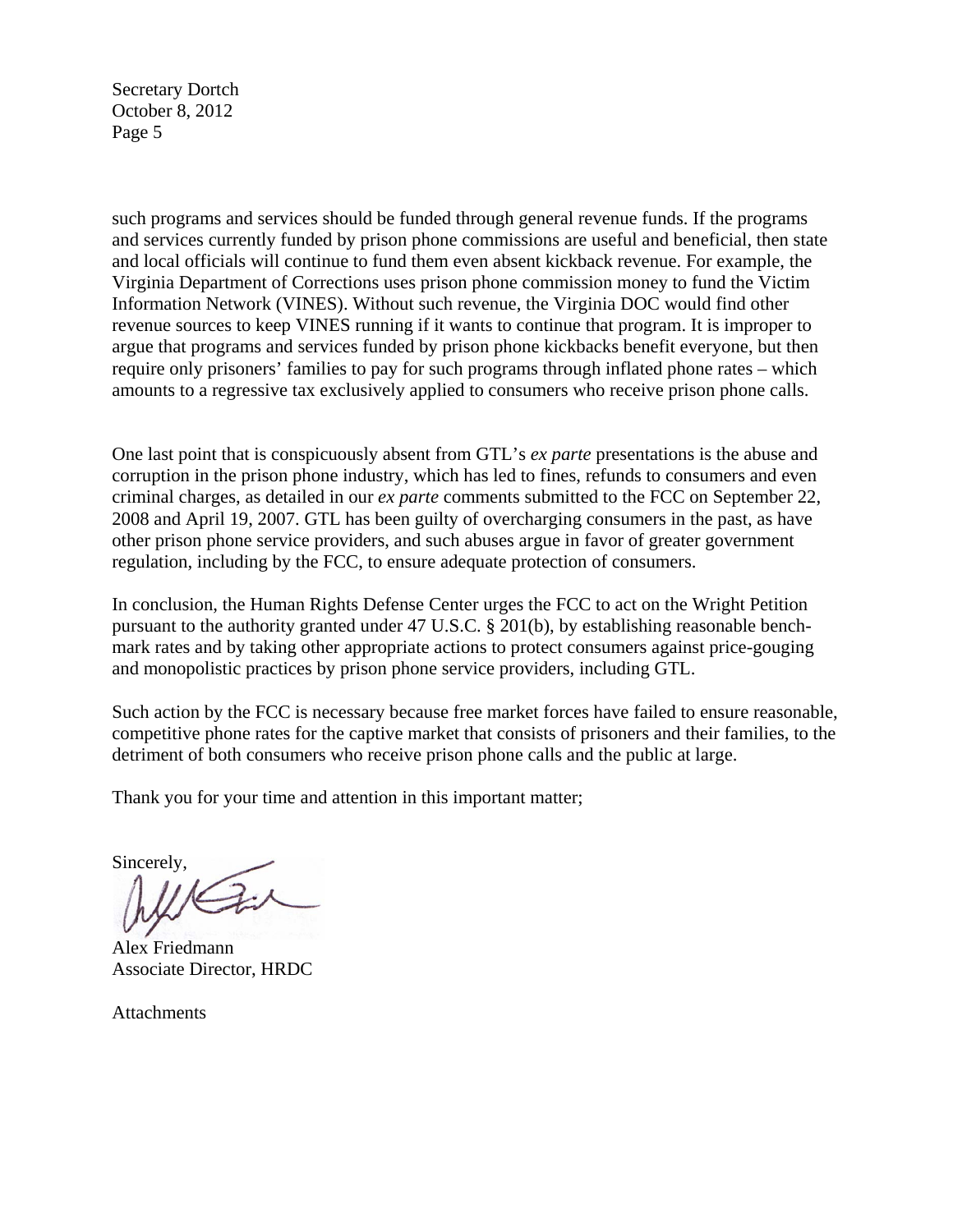such programs and services should be funded through general revenue funds. If the programs and services currently funded by prison phone commissions are useful and beneficial, then state and local officials will continue to fund them even absent kickback revenue. For example, the Virginia Department of Corrections uses prison phone commission money to fund the Victim Information Network (VINES). Without such revenue, the Virginia DOC would find other revenue sources to keep VINES running if it wants to continue that program. It is improper to argue that programs and services funded by prison phone kickbacks benefit everyone, but then require only prisoners' families to pay for such programs through inflated phone rates – which amounts to a regressive tax exclusively applied to consumers who receive prison phone calls.

One last point that is conspicuously absent from GTL's *ex parte* presentations is the abuse and corruption in the prison phone industry, which has led to fines, refunds to consumers and even criminal charges, as detailed in our *ex parte* comments submitted to the FCC on September 22, 2008 and April 19, 2007. GTL has been guilty of overcharging consumers in the past, as have other prison phone service providers, and such abuses argue in favor of greater government regulation, including by the FCC, to ensure adequate protection of consumers.

In conclusion, the Human Rights Defense Center urges the FCC to act on the Wright Petition pursuant to the authority granted under 47 U.S.C. § 201(b), by establishing reasonable benchmark rates and by taking other appropriate actions to protect consumers against price-gouging and monopolistic practices by prison phone service providers, including GTL.

Such action by the FCC is necessary because free market forces have failed to ensure reasonable, competitive phone rates for the captive market that consists of prisoners and their families, to the detriment of both consumers who receive prison phone calls and the public at large.

Thank you for your time and attention in this important matter;

Sincerely,  $\mathcal{L}$ 

Alex Friedmann Associate Director, HRDC

**Attachments**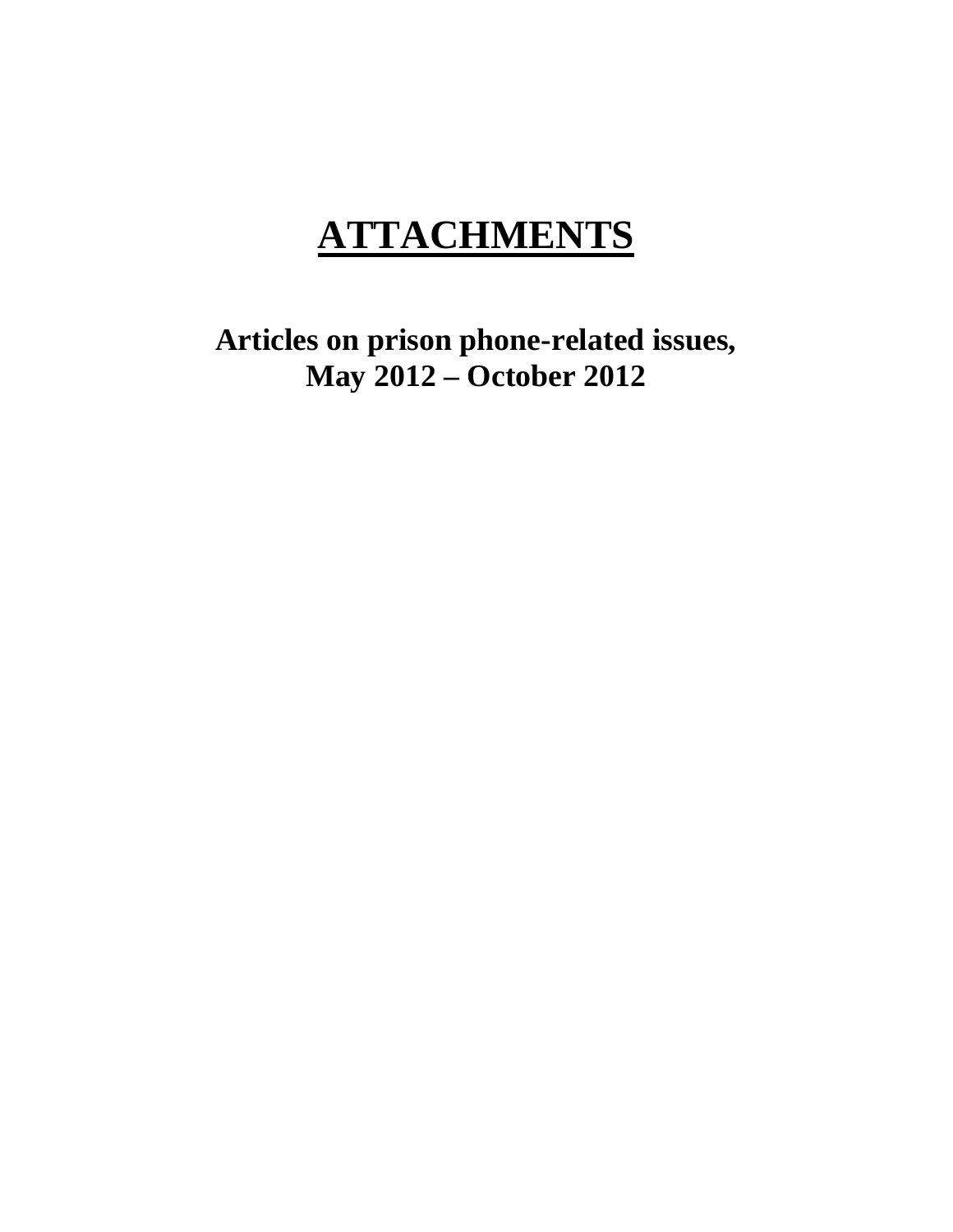# **ATTACHMENTS**

 **Articles on prison phone-related issues, May 2012 – October 2012**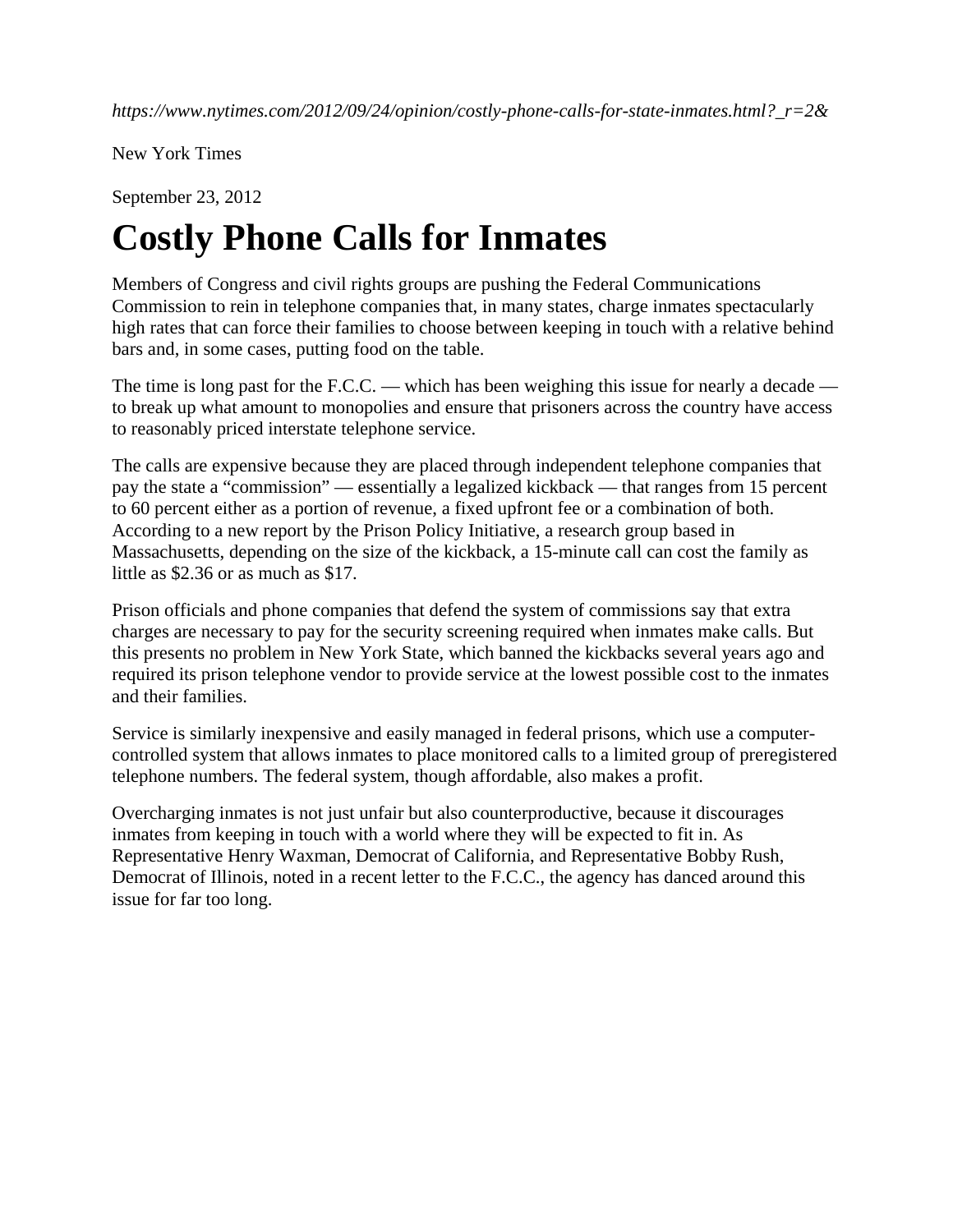New York Times

September 23, 2012

# **Costly Phone Calls for Inmates**

Members of Congress and civil rights groups are pushing the Federal Communications Commission to rein in telephone companies that, in many states, charge inmates spectacularly high rates that can force their families to choose between keeping in touch with a relative behind bars and, in some cases, putting food on the table.

The time is long past for the F.C.C. — which has been weighing this issue for nearly a decade to break up what amount to monopolies and ensure that prisoners across the country have access to reasonably priced interstate telephone service.

The calls are expensive because they are placed through independent telephone companies that pay the state a "commission" — essentially a legalized kickback — that ranges from 15 percent to 60 percent either as a portion of revenue, a fixed upfront fee or a combination of both. According to a new [report by the Prison Policy Initiative](http://www.prisonpolicy.org/phones/report.html), a research group based in Massachusetts, depending on the size of the kickback, a 15-minute call can cost the family as little as \$2.36 or as much as \$17.

Prison officials and phone companies that defend the system of commissions say that extra charges are necessary to pay for the security screening required when inmates make calls. But this presents no problem in New York State, which banned the kickbacks several years ago and required its prison telephone vendor to provide service at the lowest possible cost to the inmates and their families.

Service is similarly inexpensive and easily managed in federal prisons, which use a computercontrolled system that allows inmates to place monitored calls to a limited group of preregistered telephone numbers. The federal system, though affordable, also makes a profit.

Overcharging inmates is not just unfair but also counterproductive, because it discourages inmates from keeping in touch with a world where they will be expected to fit in. As Representative Henry Waxman, Democrat of California, and Representative Bobby Rush, Democrat of Illinois, [noted in a recent letter](http://democrats.energycommerce.house.gov/sites/default/files/documents/Genachowski.PrisonPhones.2012.9.12.pdf) to the F.C.C., the agency has danced around this issue for far too long.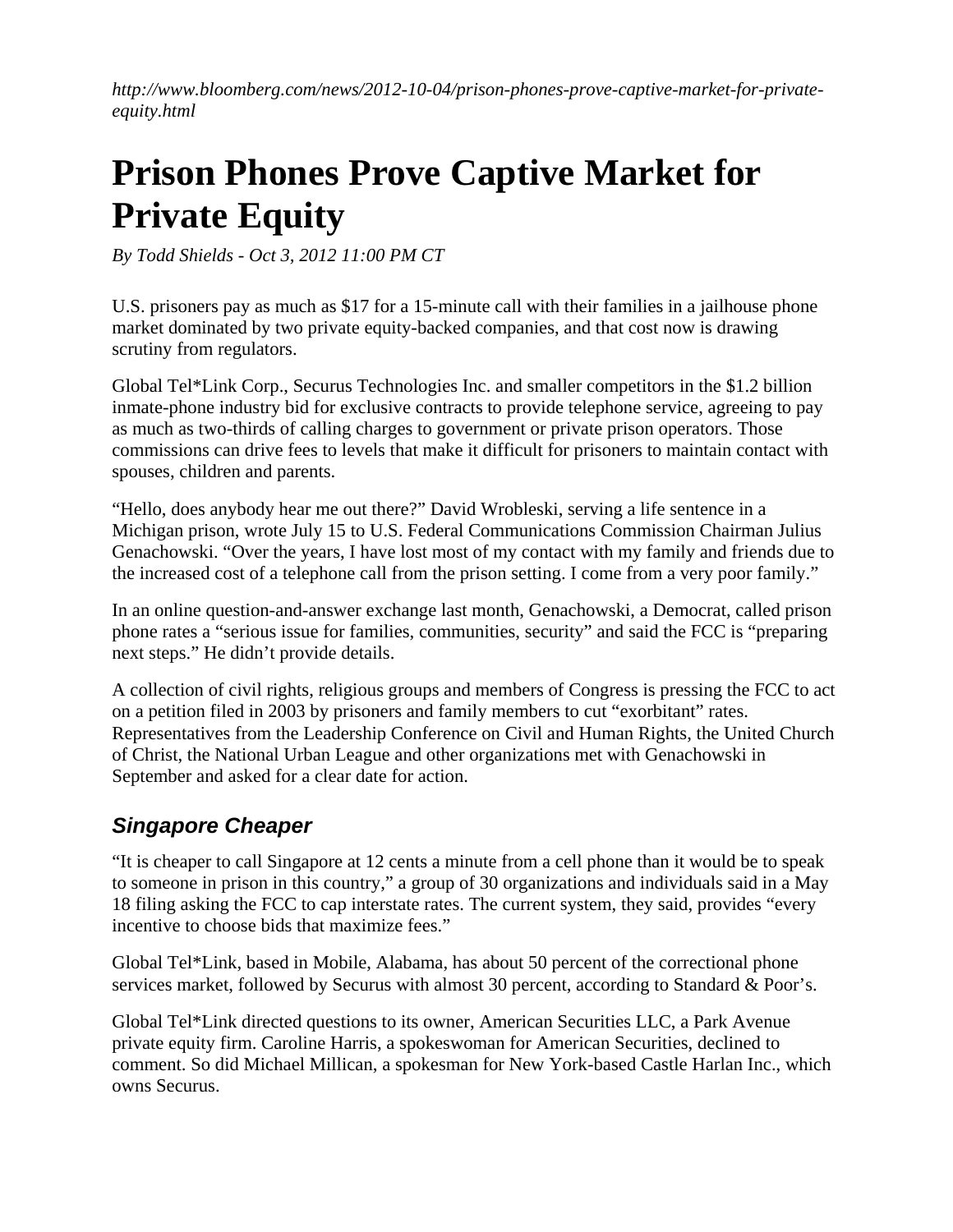*http://www.bloomberg.com/news/2012-10-04/prison-phones-prove-captive-market-for-privateequity.html* 

# **Prison Phones Prove Captive Market for Private Equity**

*By Todd Shields - Oct 3, 2012 11:00 PM CT* 

U.S. prisoners pay as much as \$17 for a 15-minute call with their families in a jailhouse phone market dominated by two private equity-backed companies, and that cost now is drawing scrutiny from regulators.

Global Tel\*Link Corp., Securus Technologies Inc. and smaller competitors in the \$1.2 billion inmate-phone industry bid for exclusive contracts to provide telephone service, agreeing to pay as much as [two-thirds](http://apps.fcc.gov/ecfs/document/view?id=7021983331) of calling charges to government or private prison operators. Those commissions can drive fees to levels that make it difficult for prisoners to maintain contact with spouses, children and parents.

"Hello, does anybody hear me out there?" David Wrobleski, serving a life sentence in a Michigan prison, wrote July 15 to U.S. Federal Communications Commission Chairman [Julius](http://topics.bloomberg.com/julius-genachowski/)  [Genachowski](http://topics.bloomberg.com/julius-genachowski/). "Over the years, I have lost most of my contact with my family and friends due to the increased cost of a telephone call from the prison setting. I come from a very poor family."

In an online question-and-answer exchange last month, Genachowski, a Democrat, [called](https://twitter.com/FCC/status/245582936458555392) prison phone rates a "serious issue for families, communities, security" and said the FCC is "preparing next steps." He didn't provide details.

A collection of civil rights, religious groups and members of Congress is pressing the FCC to act on a petition filed in 2003 by prisoners and family members to cut "exorbitant" rates. Representatives from the Leadership Conference on Civil and Human Rights, the United Church of Christ, the National Urban League and other organizations [met with](http://apps.fcc.gov/ecfs/document/view?id=7022009553) Genachowski in September and asked for a clear date for action.

## *Singapore Cheaper*

"It is cheaper to call [Singapore](http://topics.bloomberg.com/singapore/) at 12 cents a minute from a cell phone than it would be to speak to someone in prison in this country," a group of 30 organizations and individuals said in a May 18 filing asking the FCC to cap interstate rates. The current system, they said, provides "every incentive to choose bids that maximize fees."

Global Tel\*Link, based in Mobile, [Alabama,](http://topics.bloomberg.com/alabama/) has about 50 percent of the correctional phone services market, followed by Securus with almost 30 percent, according to Standard & Poor's.

Global Tel\*Link directed questions to its owner, American Securities LLC, a Park Avenue private equity firm. Caroline Harris, a spokeswoman for American Securities, declined to comment. So did Michael Millican, a spokesman for New York-based Castle Harlan Inc., which owns Securus.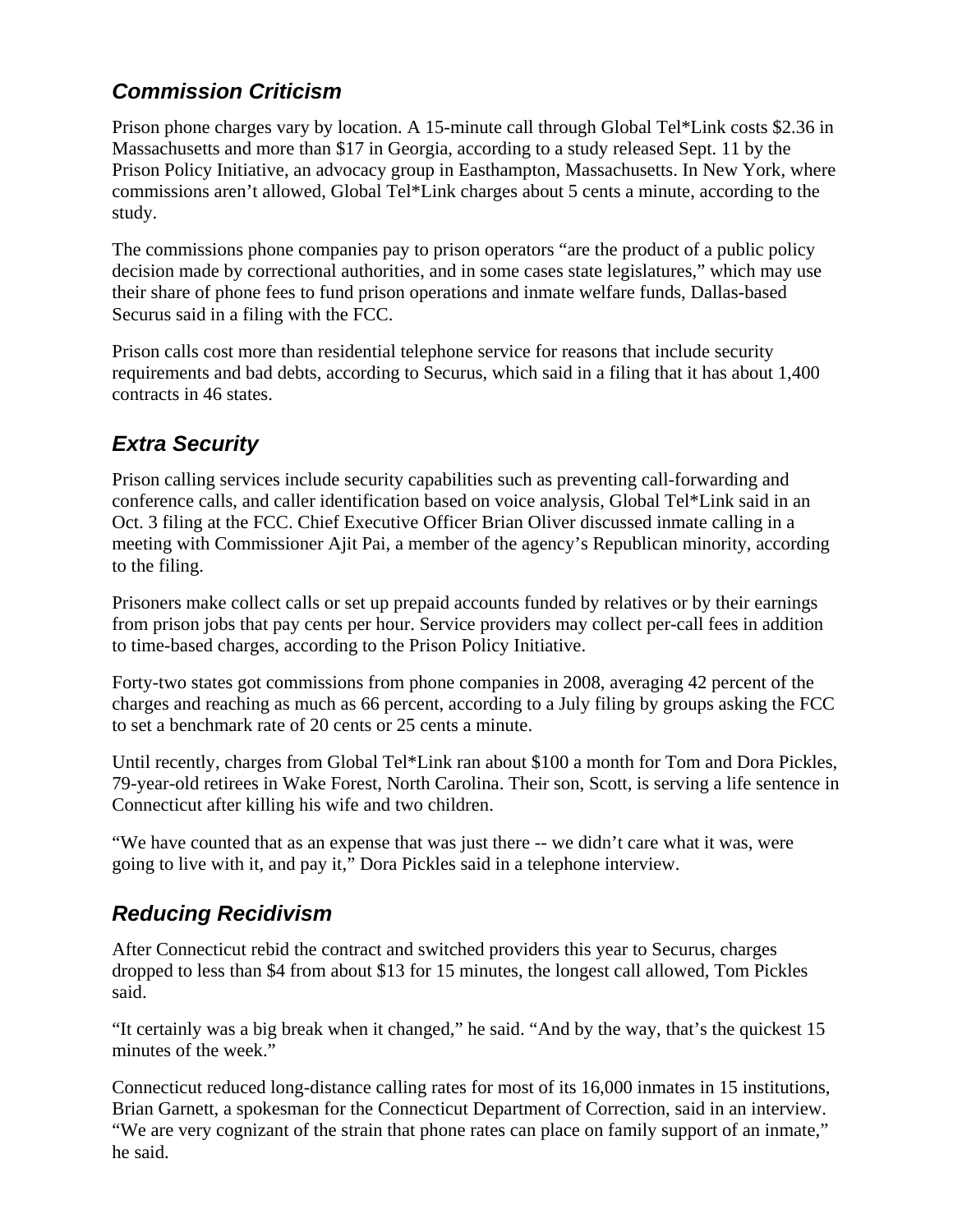## *Commission Criticism*

Prison phone charges vary by location. A 15-minute call through Global Tel\*Link costs \$2.36 in [Massachusetts](http://topics.bloomberg.com/massachusetts/) and more than \$17 in [Georgia,](http://topics.bloomberg.com/georgia/) according to a [study](http://www.prisonpolicy.org/phones/report.html#_ftn13) released Sept. 11 by the Prison Policy Initiative, an advocacy group in Easthampton, Massachusetts. In New York, where commissions aren't allowed, Global Tel\*Link charges about 5 cents a minute, according to the study.

The commissions phone companies pay to prison operators "are the product of a public policy decision made by correctional authorities, and in some cases state legislatures," which may use their share of phone fees to fund prison operations and inmate welfare funds, Dallas-based Securus said in a filing with the FCC.

Prison calls cost more than residential telephone service for reasons that include security requirements and bad debts, according to Securus, which said in a [filing](http://apps.fcc.gov/ecfs/document/view?id=7021982266) that it has about 1,400 contracts in 46 states.

## *Extra Security*

Prison calling services include security capabilities such as preventing call-forwarding and conference calls, and caller identification based on voice analysis, Global Tel\*Link said in an Oct. 3 filing at the FCC. Chief Executive Officer Brian Oliver discussed inmate calling in a meeting with Commissioner Ajit Pai, a member of the agency's Republican minority, according to the filing.

Prisoners make collect calls or set up prepaid accounts funded by relatives or by their earnings from prison jobs that pay cents per hour. Service providers may collect per-call fees in addition to time-based charges, according to the Prison Policy Initiative.

Forty-two states got commissions from phone companies in 2008, averaging 42 percent of the charges and reaching as much as 66 percent, according to a July filing by groups asking the FCC to set a benchmark rate of 20 cents or 25 cents a minute.

Until recently, charges from Global Tel\*Link ran about \$100 a month for Tom and Dora Pickles, 79-year-old retirees in Wake Forest, North Carolina. Their son, Scott, is serving a life sentence in [Connecticut](http://topics.bloomberg.com/connecticut/) after killing his wife and two children.

"We have counted that as an expense that was just there -- we didn't care what it was, were going to live with it, and pay it," Dora Pickles said in a telephone interview.

## *Reducing Recidivism*

After Connecticut rebid the contract and switched providers this year to Securus, charges dropped to less than \$4 from about \$13 for 15 minutes, the longest call allowed, Tom Pickles said.

"It certainly was a big break when it changed," he said. "And by the way, that's the quickest 15 minutes of the week."

Connecticut reduced long-distance calling rates for most of its 16,000 inmates in 15 institutions, Brian Garnett, a spokesman for the Connecticut Department of Correction, said in an interview. "We are very cognizant of the strain that phone rates can place on family support of an inmate," he said.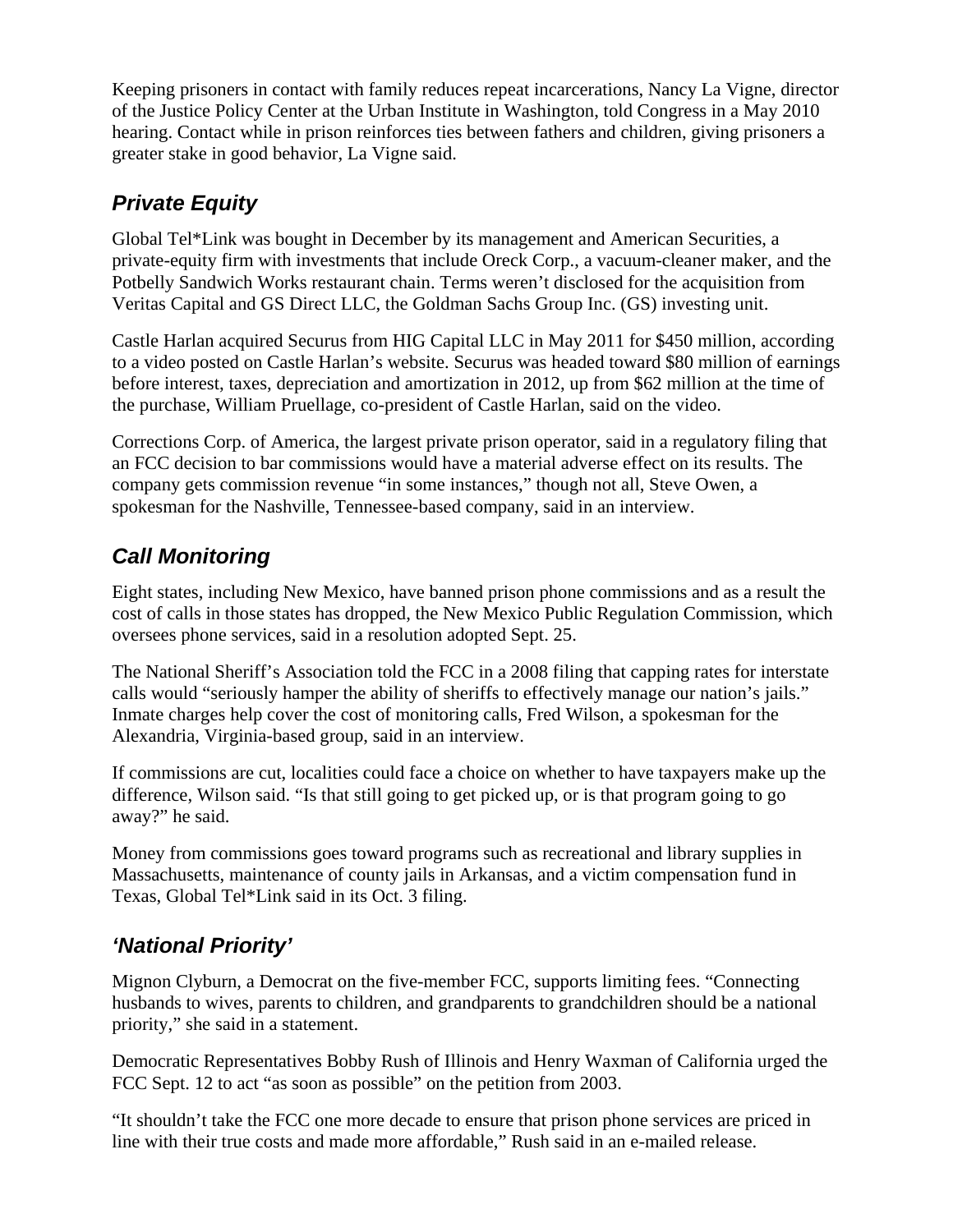Keeping prisoners in contact with family reduces repeat incarcerations, [Nancy La Vigne,](http://www.urban.org/publications/901287.html) director of the Justice Policy Center at the Urban Institute in [Washington,](http://topics.bloomberg.com/washington/) [told](http://oversight.house.gov/hearing/housing-d-c-code-felons-far-away-from-home-effects-on-crime-recidivism-and-reentry/) Congress in a May 2010 hearing. Contact while in prison reinforces ties between fathers and children, giving prisoners a greater stake in good behavior, La Vigne said.

## *Private Equity*

Global Tel\*Link was bought in December by its management and American Securities, a private-equity firm with [investments that include](http://www.american-securities.com/Investments/Current) Oreck Corp., a vacuum-cleaner maker, and the Potbelly Sandwich Works restaurant chain. Terms weren't disclosed for the acquisition from Veritas Capital and GS Direct LLC, the [Goldman Sachs Group Inc. \(GS\)](http://www.bloomberg.com/quote/GS:US) investing unit.

Castle Harlan acquired Securus from HIG Capital LLC in May 2011 for \$450 million, according to a [video](http://www.castleharlan.com/2012-annual-meeting-video-highlights.html) posted on Castle Harlan's website. Securus was headed toward \$80 million of earnings before interest, taxes, depreciation and amortization in 2012, up from \$62 million at the time of the purchase, William Pruellage, co-president of Castle Harlan, said on the video.

Corrections Corp. of America, the largest private prison operator, said in a regulatory filing that an FCC decision to bar commissions would have a material adverse effect on its results. The company gets commission revenue "in some instances," though not all, Steve Owen, a spokesman for the Nashville, Tennessee-based company, said in an interview.

## *Call Monitoring*

Eight states, including New Mexico, have banned prison phone commissions and as a result the cost of calls in those states has dropped, the New Mexico Public Regulation Commission, which oversees phone services, said in a resolution adopted Sept. 25.

The [National Sheriff's Association](http://www.sheriffs.org/) told the FCC in a 2008 filing that capping rates for interstate calls would "seriously hamper the ability of sheriffs to effectively manage our nation's jails." Inmate charges help cover the cost of monitoring calls, [Fred Wilson](http://topics.bloomberg.com/fred-wilson/), a spokesman for the Alexandria, Virginia-based group, said in an interview.

If commissions are cut, localities could face a choice on whether to have taxpayers make up the difference, Wilson said. "Is that still going to get picked up, or is that program going to go away?" he said.

Money from commissions goes toward programs such as recreational and library supplies in Massachusetts, maintenance of county jails in [Arkansas,](http://topics.bloomberg.com/arkansas/) and a victim compensation fund in [Texas,](http://topics.bloomberg.com/texas/) Global Tel\*Link said in its Oct. 3 filing.

## *'National Priority'*

Mignon Clyburn, a Democrat on the five-member FCC, supports limiting fees. "Connecting husbands to wives, parents to children, and grandparents to grandchildren should be a national priority," she said in a statement.

Democratic Representatives Bobby Rush of [Illinois](http://topics.bloomberg.com/illinois/) and Henry Waxman of [California](http://topics.bloomberg.com/california/) urged the FCC Sept. 12 to act "as soon as possible" on the petition from 2003.

"It shouldn't take the FCC one more decade to ensure that prison phone services are priced in line with their true costs and made more affordable," Rush said in an e-mailed release.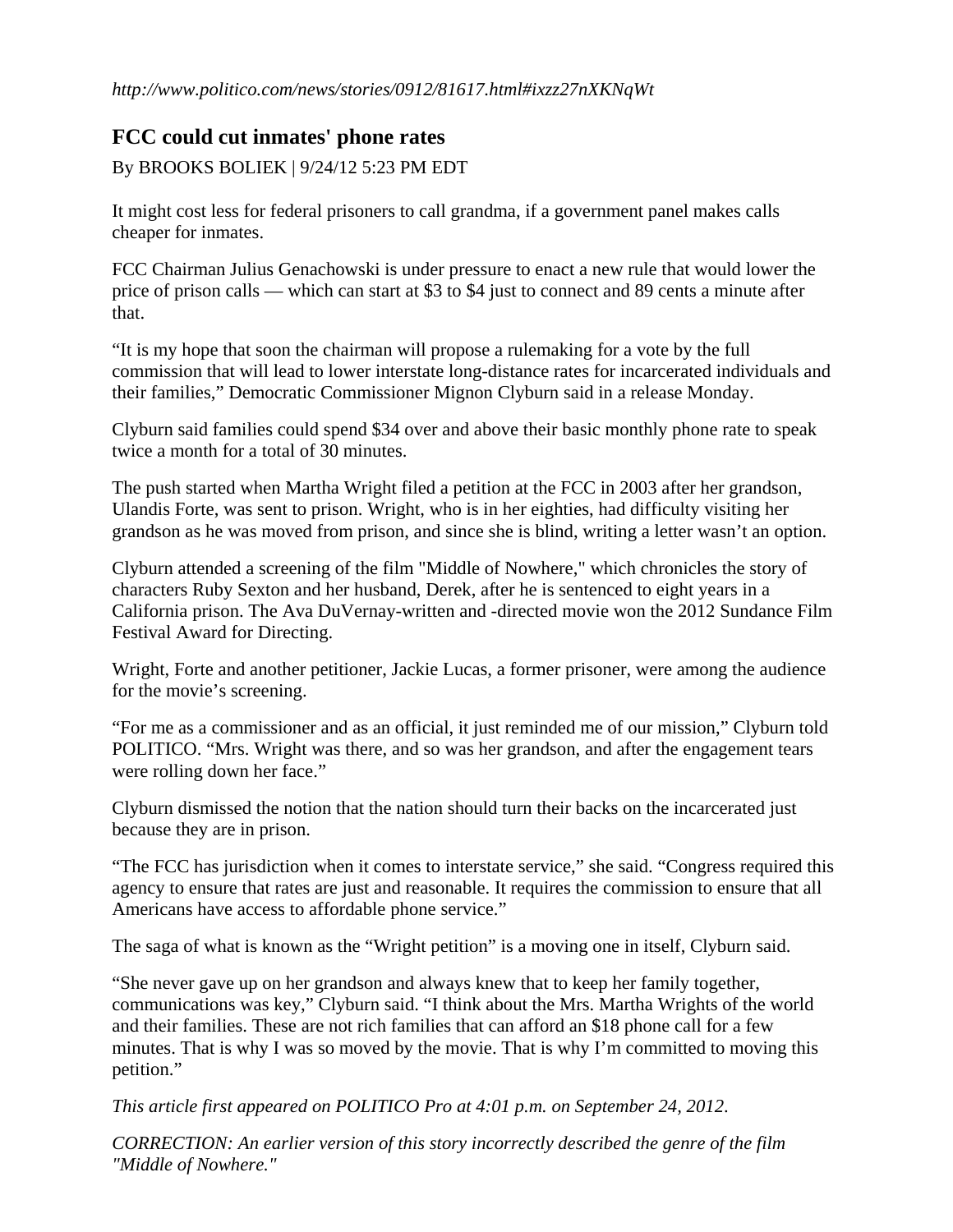*http://www.politico.com/news/stories/0912/81617.html#ixzz27nXKNqWt* 

### **FCC could cut inmates' phone rates**

#### By [BROOKS BOLIEK](http://www.politico.com/reporters/BrooksBoliek.html) | 9/24/12 5:23 PM EDT

It might cost less for federal prisoners to call grandma, if a government panel makes calls cheaper for inmates.

FCC Chairman Julius Genachowski is under pressure to enact a new rule that would lower the price of prison calls — which can start at \$3 to \$4 just to connect and 89 cents a minute after that.

"It is my hope that soon the chairman will propose a rulemaking for a vote by the full commission that will lead to lower interstate long-distance rates for incarcerated individuals and their families," Democratic Commissioner Mignon Clyburn said in a release Monday.

Clyburn said families could spend \$34 over and above their basic monthly phone rate to speak twice a month for a total of 30 minutes.

The push started when Martha Wright filed a petition at the FCC in 2003 after her grandson, Ulandis Forte, was sent to prison. Wright, who is in her eighties, had difficulty visiting her grandson as he was moved from prison, and since she is blind, writing a letter wasn't an option.

Clyburn attended a screening of the film "Middle of Nowhere," which chronicles the story of characters Ruby Sexton and her husband, Derek, after he is sentenced to eight years in a California prison. The Ava DuVernay-written and -directed movie won the 2012 Sundance Film Festival Award for Directing.

Wright, Forte and another petitioner, Jackie Lucas, a former prisoner, were among the audience for the movie's screening.

"For me as a commissioner and as an official, it just reminded me of our mission," Clyburn told POLITICO. "Mrs. Wright was there, and so was her grandson, and after the engagement tears were rolling down her face."

Clyburn dismissed the notion that the nation should turn their backs on the incarcerated just because they are in prison.

"The FCC has jurisdiction when it comes to interstate service," she said. "Congress required this agency to ensure that rates are just and reasonable. It requires the commission to ensure that all Americans have access to affordable phone service."

The saga of what is known as the "Wright petition" is a moving one in itself, Clyburn said.

"She never gave up on her grandson and always knew that to keep her family together, communications was key," Clyburn said. "I think about the Mrs. Martha Wrights of the world and their families. These are not rich families that can afford an \$18 phone call for a few minutes. That is why I was so moved by the movie. That is why I'm committed to moving this petition."

*This article first appeared on [POLITICO Pro](http://www.politicopro.com/) at 4:01 p.m. on September 24, 2012*.

*CORRECTION: An earlier version of this story incorrectly described the genre of the film "Middle of Nowhere."*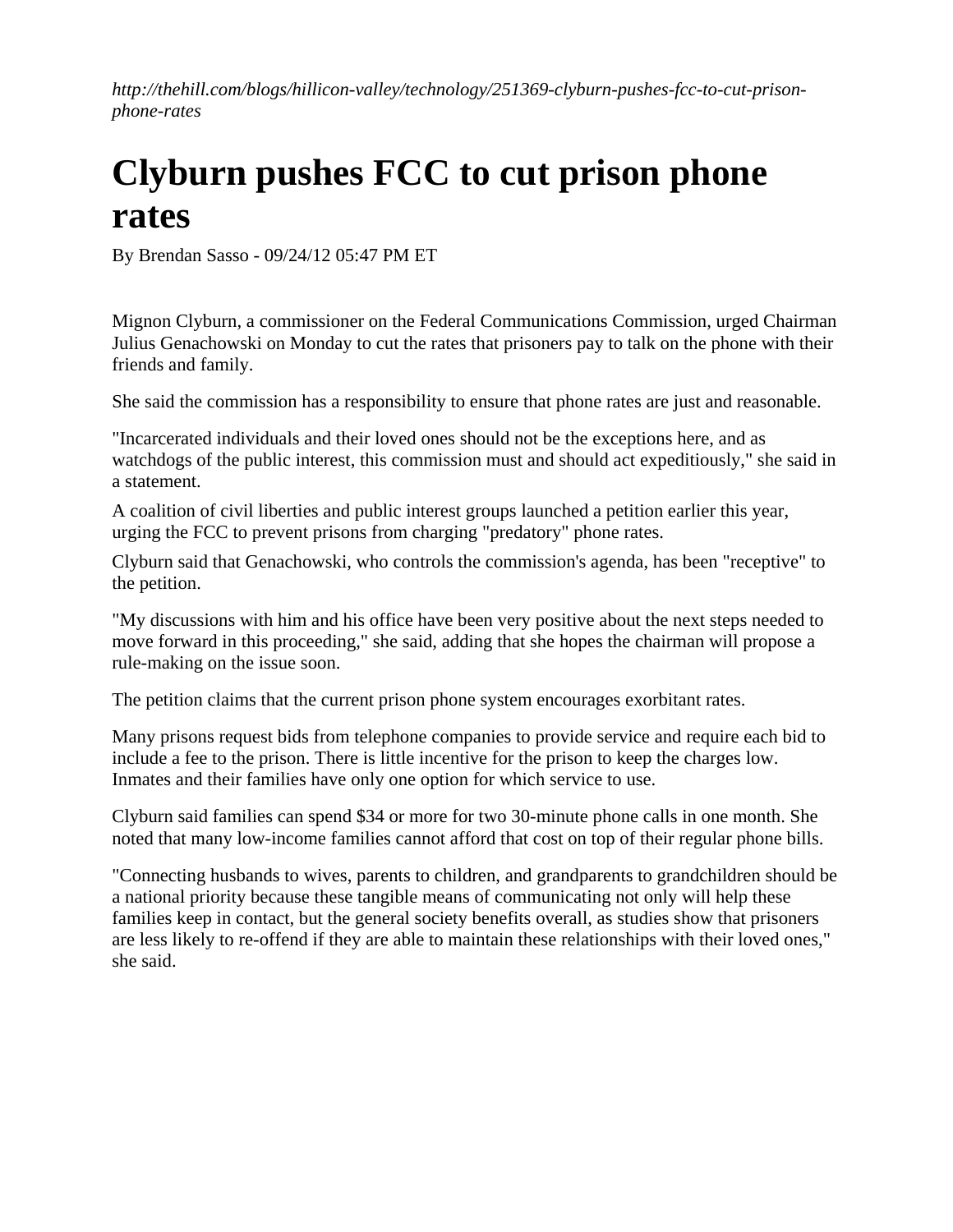*http://thehill.com/blogs/hillicon-valley/technology/251369-clyburn-pushes-fcc-to-cut-prisonphone-rates* 

# **Clyburn pushes FCC to cut prison phone rates**

By Brendan Sasso - 09/24/12 05:47 PM ET

Mignon Clyburn, a commissioner on the Federal Communications Commission, urged Chairman Julius Genachowski on Monday to cut the rates that prisoners pay to talk on the phone with their friends and family.

She said the commission has a responsibility to ensure that phone rates are just and reasonable.

"Incarcerated individuals and their loved ones should not be the exceptions here, and as watchdogs of the public interest, this commission must and should act expeditiously," she said in a [statement](http://transition.fcc.gov/Daily_Releases/Daily_Business/2012/db0924/DOC-316432A1.pdf).

A coalition of civil liberties and public interest groups launched a petition earlier this year, urging the FCC to prevent prisons from charging "predatory" phone rates.

Clyburn said that Genachowski, who controls the commission's agenda, has been "receptive" to the petition.

"My discussions with him and his office have been very positive about the next steps needed to move forward in this proceeding," she said, adding that she hopes the chairman will propose a rule-making on the issue soon.

The petition claims that the current prison phone system encourages exorbitant rates.

Many prisons request bids from telephone companies to provide service and require each bid to include a fee to the prison. There is little incentive for the prison to keep the charges low. Inmates and their families have only one option for which service to use.

Clyburn said families can spend \$34 or more for two 30-minute phone calls in one month. She noted that many low-income families cannot afford that cost on top of their regular phone bills.

"Connecting husbands to wives, parents to children, and grandparents to grandchildren should be a national priority because these tangible means of communicating not only will help these families keep in contact, but the general society benefits overall, as studies show that prisoners are less likely to re-offend if they are able to maintain these relationships with their loved ones," she said.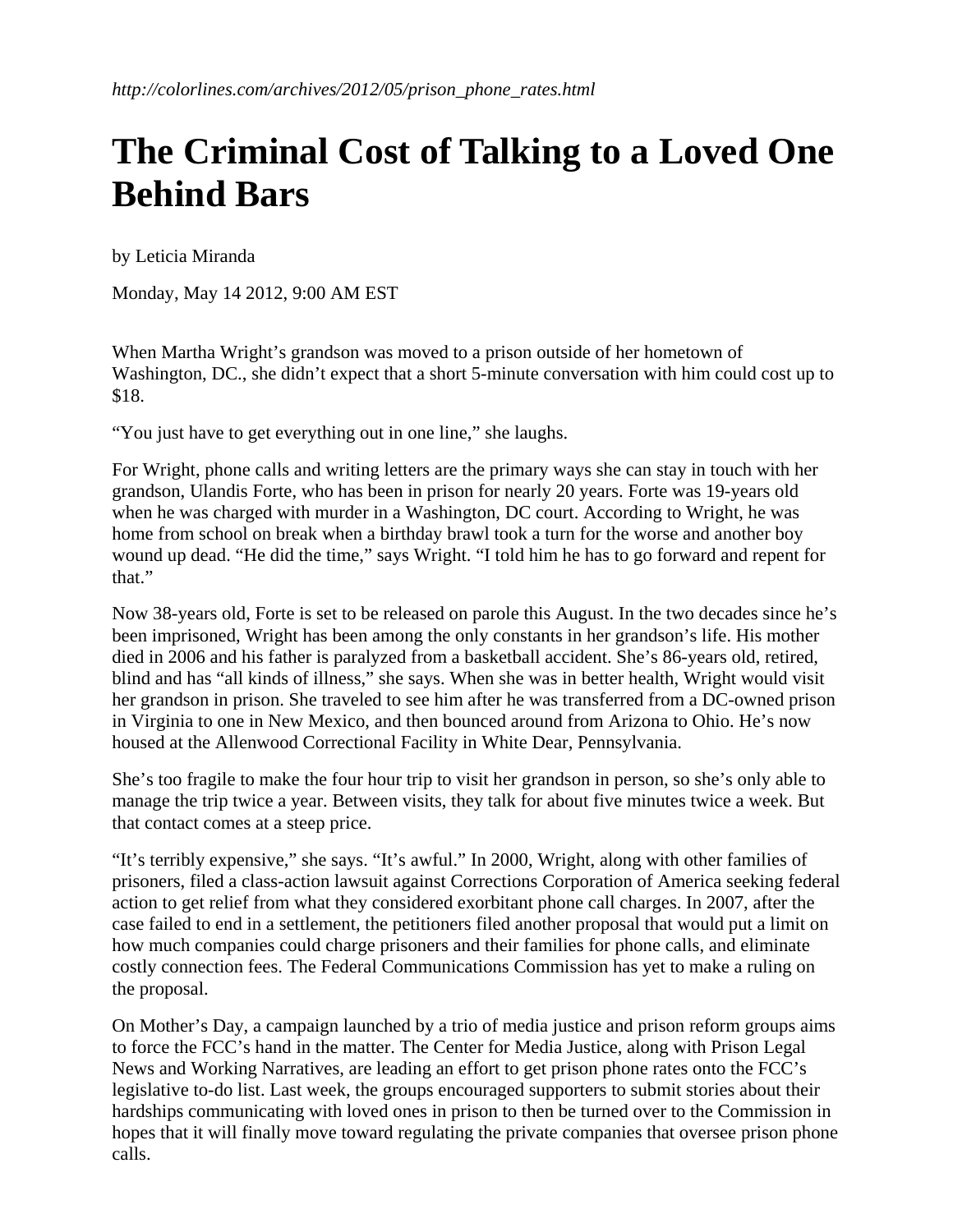## **The Criminal Cost of Talking to a Loved One Behind Bars**

by [Leticia Miranda](http://colorlines.com/archives/author/leticia-miranda) 

Monday, May 14 2012, 9:00 AM EST

When Martha Wright's grandson was moved to a prison outside of her hometown of Washington, DC., she didn't expect that a short 5-minute conversation with him could cost up to \$18.

"You just have to get everything out in one line," she laughs.

For Wright, phone calls and writing letters are the primary ways she can stay in touch with her grandson, Ulandis Forte, who has been in prison for nearly 20 years. Forte was 19-years old when he was charged with murder in a Washington, DC court. According to Wright, he was home from school on break when a birthday brawl took a turn for the worse and another boy wound up dead. "He did the time," says Wright. "I told him he has to go forward and repent for that."

Now 38-years old, Forte is set to be released on parole this August. In the two decades since he's been imprisoned, Wright has been among the only constants in her grandson's life. His mother died in 2006 and his father is paralyzed from a basketball accident. She's 86-years old, retired, blind and has "all kinds of illness," she says. When she was in better health, Wright would visit her grandson in prison. She traveled to see him after he was transferred from a DC-owned prison in Virginia to one in New Mexico, and then bounced around from Arizona to Ohio. He's now housed at the Allenwood Correctional Facility in White Dear, Pennsylvania.

She's too fragile to make the four hour trip to visit her grandson in person, so she's only able to manage the trip twice a year. Between visits, they talk for about five minutes twice a week. But that contact comes at a steep price.

"It's terribly expensive," she says. "It's awful." In 2000, Wright, along with other families of prisoners, filed a class-action lawsuit against Corrections Corporation of America seeking federal action to get relief from what they considered exorbitant phone call charges. In 2007, after the case failed to end in a settlement, the petitioners filed another proposal that would put a limit on how much companies could charge prisoners and their families for phone calls, and eliminate costly connection fees. The Federal Communications Commission has yet to make a ruling on the proposal.

On Mother's Day, a [campaign](http://kitescampaigns.org/campaign/prison-phone-justice/) launched by a trio of media justice and prison reform groups aims to force the FCC's hand in the matter. The Center for Media Justice, along with Prison Legal News and Working Narratives, are leading an effort to get prison phone rates onto the FCC's legislative to-do list. Last week, the groups encouraged supporters to submit stories about their hardships communicating with loved ones in prison to then be turned over to the Commission in hopes that it will finally move toward regulating the private companies that oversee prison phone calls.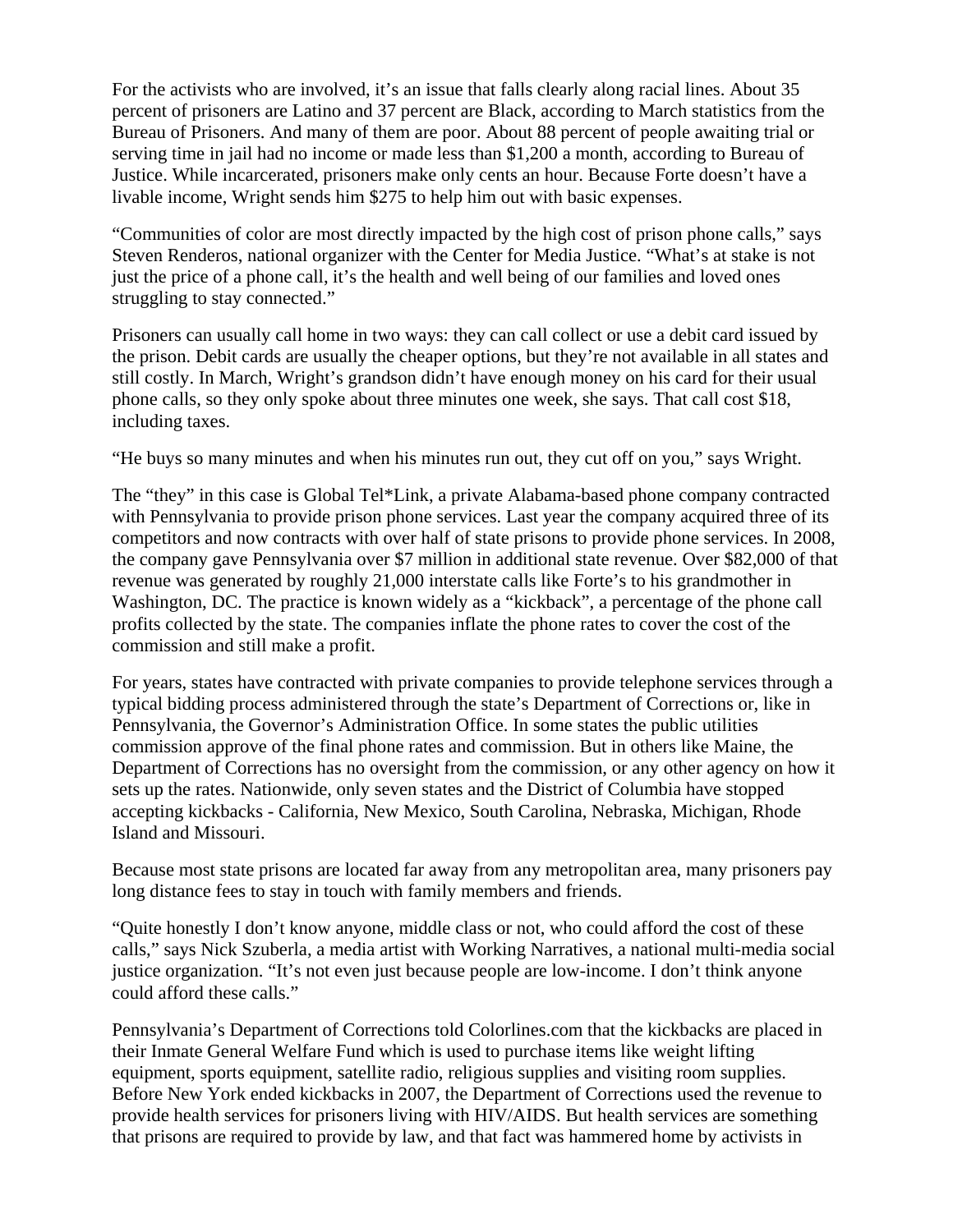For the activists who are involved, it's an issue that falls clearly along racial lines. About 35 percent of prisoners are Latino and 37 percent are Black, according to March [statistics from the](http://www.bop.gov/news/quick.jsp#1)  [Bureau of Prisoners](http://www.bop.gov/news/quick.jsp#1). And many of them are poor. About 88 percent of people awaiting trial or serving time in jail had no income or made less than \$1,200 a month, according to Bureau of Justice. While incarcerated, prisoners make only cents an hour. Because Forte doesn't have a livable income, Wright sends him \$275 to help him out with basic expenses.

"Communities of color are most directly impacted by the high cost of prison phone calls," says Steven Renderos, national organizer with the Center for Media Justice. "What's at stake is not just the price of a phone call, it's the health and well being of our families and loved ones struggling to stay connected."

Prisoners can usually call home in two ways: they can call collect or use a debit card issued by the prison. Debit cards are usually the cheaper options, but they're not available in all states and still costly. In March, Wright's grandson didn't have enough money on his card for their usual phone calls, so they only spoke about three minutes one week, she says. That call cost \$18, including taxes.

"He buys so many minutes and when his minutes run out, they cut off on you," says Wright.

The "they" in this case is Global Tel\*Link, a private Alabama-based phone company contracted with Pennsylvania to provide prison phone services. Last year the company acquired three of its competitors and now contracts with over half of state prisons to provide phone services. In 2008, the company gave Pennsylvania over \$7 million in additional state revenue. Over \$82,000 of that revenue was generated by roughly 21,000 interstate calls like Forte's to his grandmother in Washington, DC. The practice is known widely as a "kickback", a percentage of the phone call profits collected by the state. The companies inflate the phone rates to cover the cost of the commission and still make a profit.

For years, states have contracted with private companies to provide telephone services through a typical bidding process administered through the state's Department of Corrections or, like in Pennsylvania, the Governor's Administration Office. In some states the public utilities commission approve of the final phone rates and commission. But in others like Maine, the Department of Corrections has no oversight from the commission, or any other agency on how it sets up the rates. Nationwide, only seven states and the District of Columbia have stopped accepting kickbacks - California, New Mexico, South Carolina, Nebraska, Michigan, Rhode Island and Missouri.

Because most state prisons are located far away from any metropolitan area, many prisoners pay long distance fees to stay in touch with family members and friends.

"Quite honestly I don't know anyone, middle class or not, who could afford the cost of these calls," says Nick Szuberla, a media artist with Working Narratives, a national multi-media social justice organization. "It's not even just because people are low-income. I don't think anyone could afford these calls."

Pennsylvania's Department of Corrections told Colorlines.com that the kickbacks are placed in their Inmate General Welfare Fund which is used to purchase items like weight lifting equipment, sports equipment, satellite radio, religious supplies and visiting room supplies. Before New York ended kickbacks in 2007, the Department of Corrections used the revenue to provide health services for prisoners living with HIV/AIDS. But health services are something that prisons are required to provide by law, and that fact was hammered home by activists in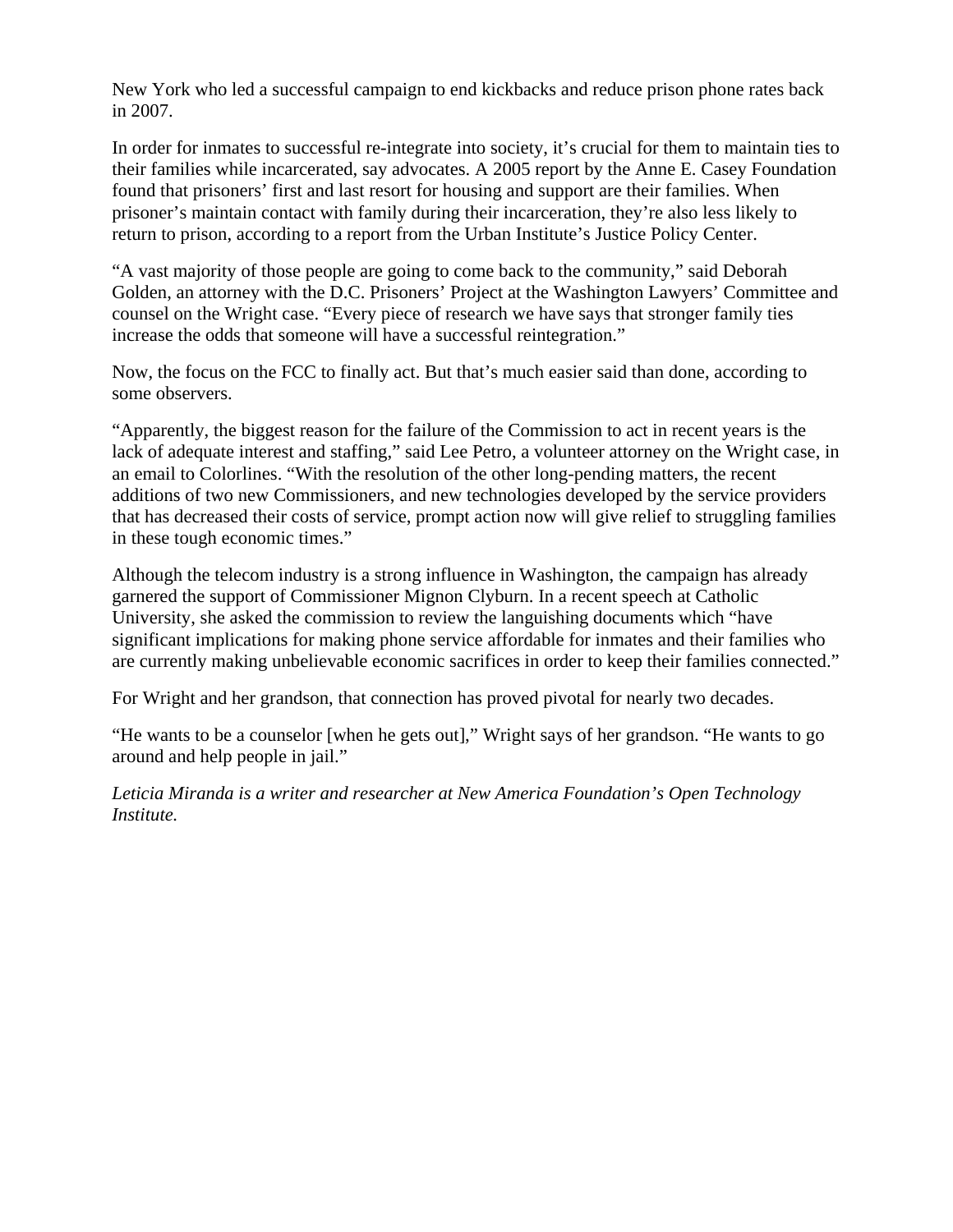New York who led a successful campaign to end kickbacks and reduce prison phone rates back in 2007.

In order for inmates to successful re-integrate into society, it's crucial for them to maintain ties to their families while incarcerated, say advocates. A 2005 [report](http://www.aecf.org/upload/publicationfiles/ir2980d32.pdf) by the Anne E. Casey Foundation found that prisoners' first and last resort for housing and support are their families. When prisoner's maintain contact with family during their incarceration, they're also less likely to return to prison, according to a [report](http://www.scribd.com/doc/37727011/Families-Left-Behind-Hidden-Costs-of-Incarceration-Reentry) from the Urban Institute's Justice Policy Center.

"A vast majority of those people are going to come back to the community," said Deborah Golden, an attorney with the D.C. Prisoners' Project at the Washington Lawyers' Committee and counsel on the Wright case. "Every piece of research we have says that stronger family ties increase the odds that someone will have a successful reintegration."

Now, the focus on the FCC to finally act. But that's much easier said than done, according to some observers.

"Apparently, the biggest reason for the failure of the Commission to act in recent years is the lack of adequate interest and staffing," said Lee Petro, a volunteer attorney on the Wright case, in an email to Colorlines. "With the resolution of the other long-pending matters, the recent additions of two new Commissioners, and new technologies developed by the service providers that has decreased their costs of service, prompt action now will give relief to struggling families in these tough economic times."

Although the telecom industry is a strong influence in Washington, the campaign has already garnered the support of Commissioner Mignon Clyburn. In a recent speech at Catholic University, she asked the commission to review the languishing documents which "have significant implications for making phone service affordable for inmates and their families who are currently making unbelievable economic sacrifices in order to keep their families connected."

For Wright and her grandson, that connection has proved pivotal for nearly two decades.

"He wants to be a counselor [when he gets out]," Wright says of her grandson. "He wants to go around and help people in jail."

*Leticia Miranda is a writer and researcher at New America Foundation's Open Technology Institute.*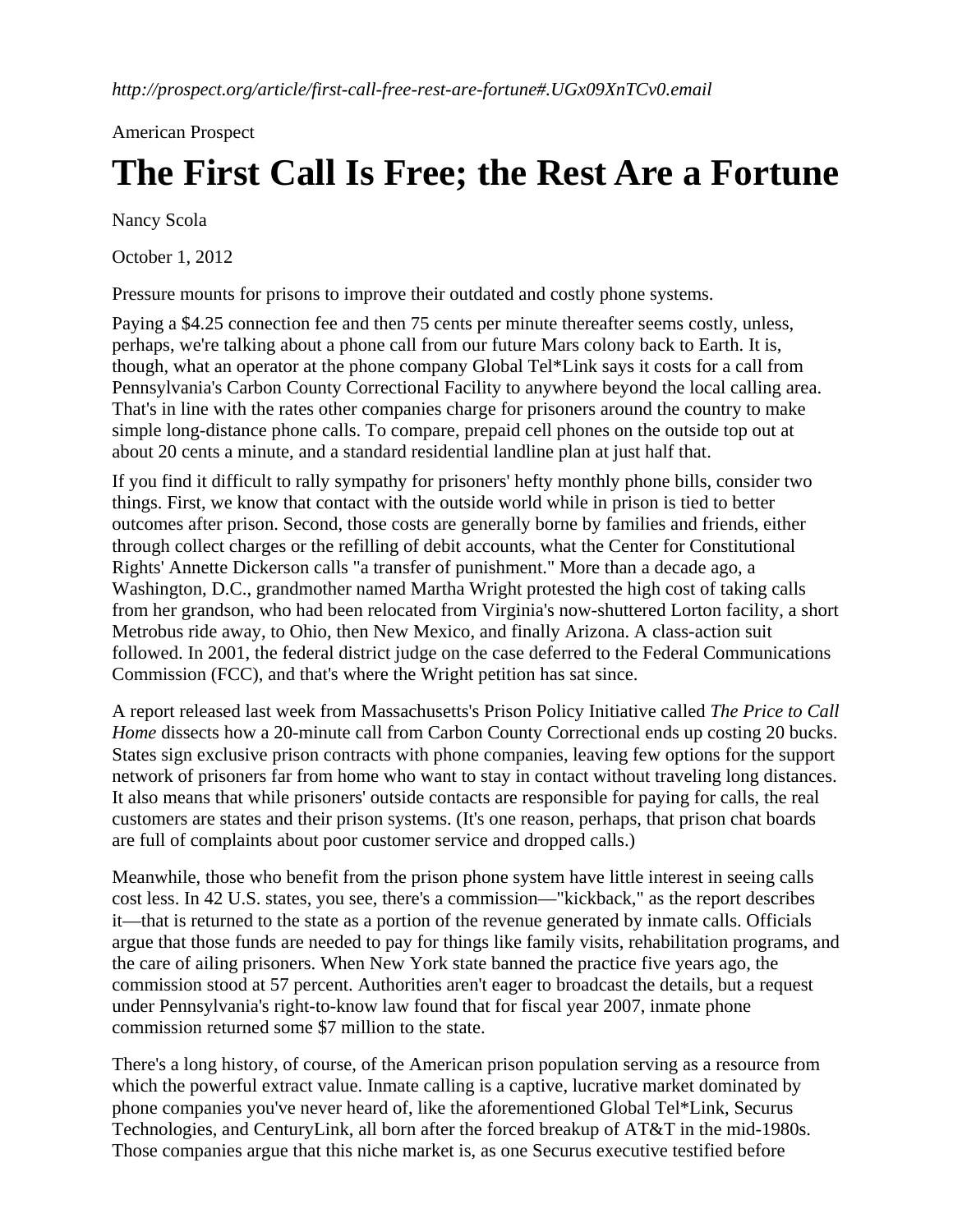American Prospect

# **The First Call Is Free; the Rest Are a Fortune**

[Nancy Scola](http://prospect.org/authors/nancy-scola) 

October 1, 2012

Pressure mounts for prisons to improve their outdated and costly phone systems.

Paying a \$4.25 connection fee and then 75 cents per minute thereafter seems costly, unless, perhaps, we're talking about a phone call from our future Mars colony back to Earth. It is, though, what an operator at the phone company Global Tel\*Link says it costs for a call from Pennsylvania's Carbon County Correctional Facility to anywhere beyond the local calling area. That's in line with the rates other companies charge for prisoners around the country to make simple long-distance phone calls. To compare, prepaid cell phones on the outside top out at about 20 cents a minute, and a standard residential landline plan at just half that.

If you find it difficult to rally sympathy for prisoners' hefty monthly phone bills, consider two things. First, we know that contact with the outside world while in prison is [tied to better](http://wcr.sonoma.edu/v07n2/20-naser/naser.pdf)  [outcomes after prison.](http://wcr.sonoma.edu/v07n2/20-naser/naser.pdf) Second, those costs are generally borne by families and friends, either through collect charges or the refilling of debit accounts, what the Center for Constitutional Rights' Annette Dickerson calls "a transfer of punishment." More than a decade ago, a Washington, D.C., grandmother named Martha Wright protested the high cost of taking calls from her grandson, who had been relocated from Virginia's now-shuttered Lorton facility, a short Metrobus ride away, to Ohio, then New Mexico, and finally Arizona. A class-action suit followed. In 2001, the federal district judge on the case deferred to the Federal Communications Commission (FCC), [and that's where the Wright petition has sat since](http://ccrjustice.org/Wright-v-CCA).

A report released last week from Massachusetts's Prison Policy Initiative called *[The Price to Call](http://www.prisonpolicy.org/phones/)  [Home](http://www.prisonpolicy.org/phones/)* dissects how a 20-minute call from Carbon County Correctional ends up costing 20 bucks. States sign exclusive prison contracts with phone companies, leaving few options for the support network of prisoners far from home who want to stay in contact without traveling long distances. It also means that while prisoners' outside contacts are responsible for paying for calls, the real customers are states and their prison systems. (It's one reason, perhaps, that prison chat boards are full of complaints about poor customer service and dropped calls.)

Meanwhile, those who benefit from the prison phone system have little interest in seeing calls cost less. In 42 U.S. states, you see, there's a commission—"kickback," as the report describes it—that is returned to the state as a portion of the revenue generated by inmate calls. Officials argue that those funds are needed to pay for things like family visits, rehabilitation programs, and the care of ailing prisoners. When New York state banned the practice five years ago, the commission [stood at 57 percent.](http://ccrjustice.org/get-involved/action/new-york-campaign-telephone-justice) Authorities aren't eager to broadcast the details, but a request under Pennsylvania's right-to-know law found that for fiscal year 2007, inmate phone commission [returned some \\$7 million to the state.](http://prisonphonejustice.org/includes/_public/rates/Pennsylvania/PA_prison_phone_commissions_GTL_20022009.pdf)

There's a long history, of course, of the American prison population serving as a resource from which the powerful extract value. Inmate calling is a captive, lucrative market dominated by phone companies you've never heard of, like the aforementioned Global Tel\*Link, Securus Technologies, and CenturyLink, all born after the forced breakup of AT&T in the mid-1980s. Those companies argue that this niche market is, as one Securus executive [testified before](http://democrats.energycommerce.house.gov/Press_111/20090611/testimony_hopfinger.pdf)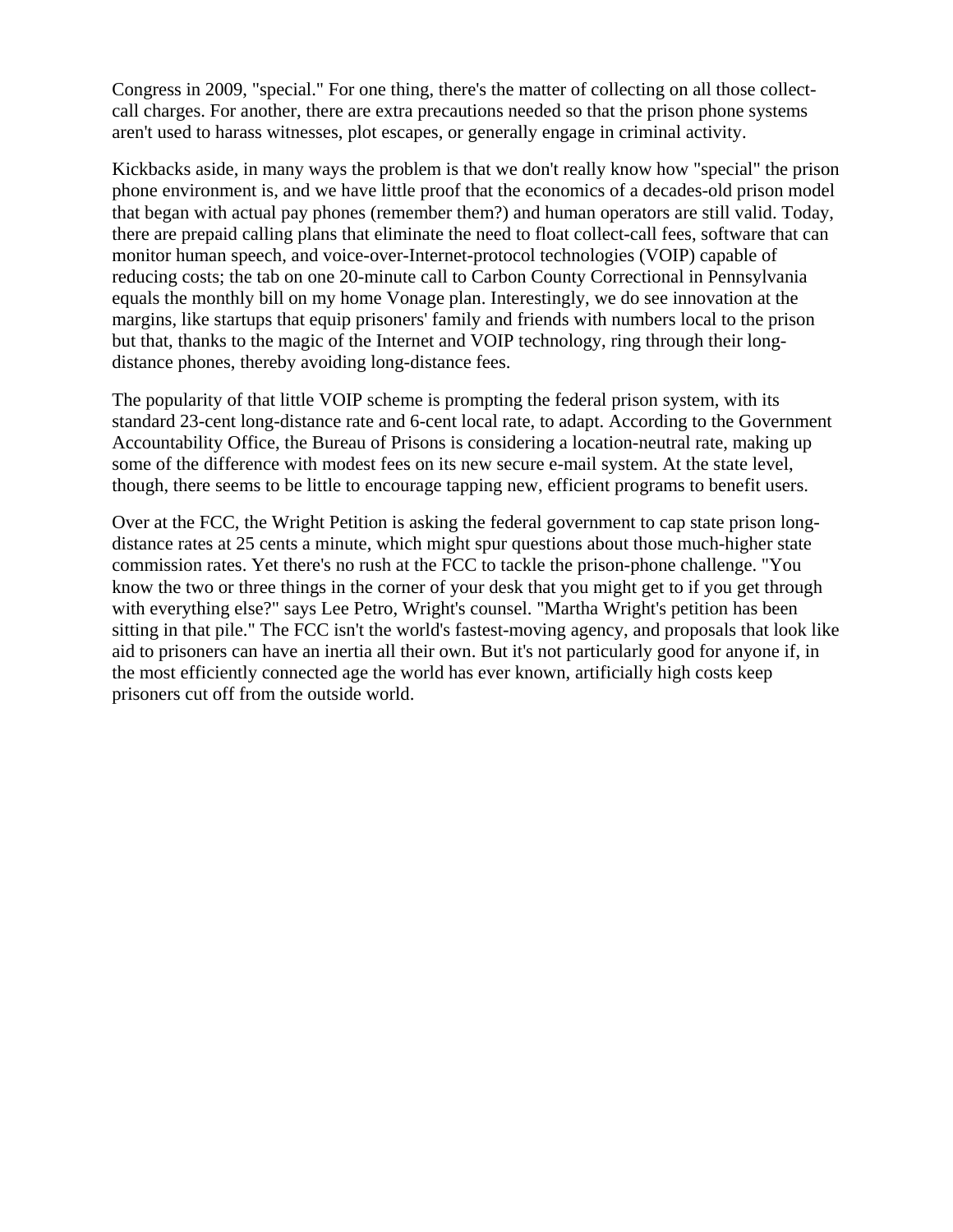[Congress](http://democrats.energycommerce.house.gov/Press_111/20090611/testimony_hopfinger.pdf) in 2009, "special." For one thing, there's the matter of collecting on all those collectcall charges. For another, there are extra precautions needed so that the prison phone systems aren't used to harass witnesses, plot escapes, or generally engage in criminal activity.

Kickbacks aside, in many ways the problem is that we don't really know how "special" the prison phone environment is, and we have little proof that the economics of a decades-old prison model that began with actual pay phones (remember them?) and human operators are still valid. Today, there are prepaid calling plans that eliminate the need to float collect-call fees, software that can monitor human speech, and voice-over-Internet-protocol technologies (VOIP) capable of reducing costs; the tab on one 20-minute call to Carbon County Correctional in Pennsylvania equals the monthly bill on my home Vonage plan. Interestingly, we do see innovation at the margins, like startups [that](http://www.jailcallservices.com/) [equip](http://www.millicorp.com/) prisoners' family and friends with numbers local to the prison but that, thanks to the magic of the Internet and VOIP technology, ring through their longdistance phones, thereby avoiding long-distance fees.

The popularity of that little VOIP scheme is prompting the federal prison system, with its standard 23-cent long-distance rate and 6-cent local rate, to adapt. [According to the Government](http://www.gao.gov/assets/330/322805.pdf)  [Accountability Office,](http://www.gao.gov/assets/330/322805.pdf) the Bureau of Prisons is considering a location-neutral rate, making up some of the difference with modest fees on its [new secure e-mail system.](http://www.bop.gov/inmate_programs/trulincs_faq.jsp) At the state level, though, there seems to be little to encourage tapping new, efficient programs to benefit users.

Over at the FCC, the Wright Petition is asking the federal government to cap state prison longdistance rates at 25 cents a minute, which might spur questions about those much-higher state commission rates. Yet there's no rush at the FCC to tackle the prison-phone challenge. "You know the two or three things in the corner of your desk that you might get to if you get through with everything else?" says Lee Petro, Wright's counsel. "Martha Wright's petition has been sitting in that pile." The FCC isn't the world's fastest-moving agency, and proposals that look like aid to prisoners can have an inertia all their own. But it's not particularly good for anyone if, in the most efficiently connected age the world has ever known, artificially high costs keep prisoners cut off from the outside world.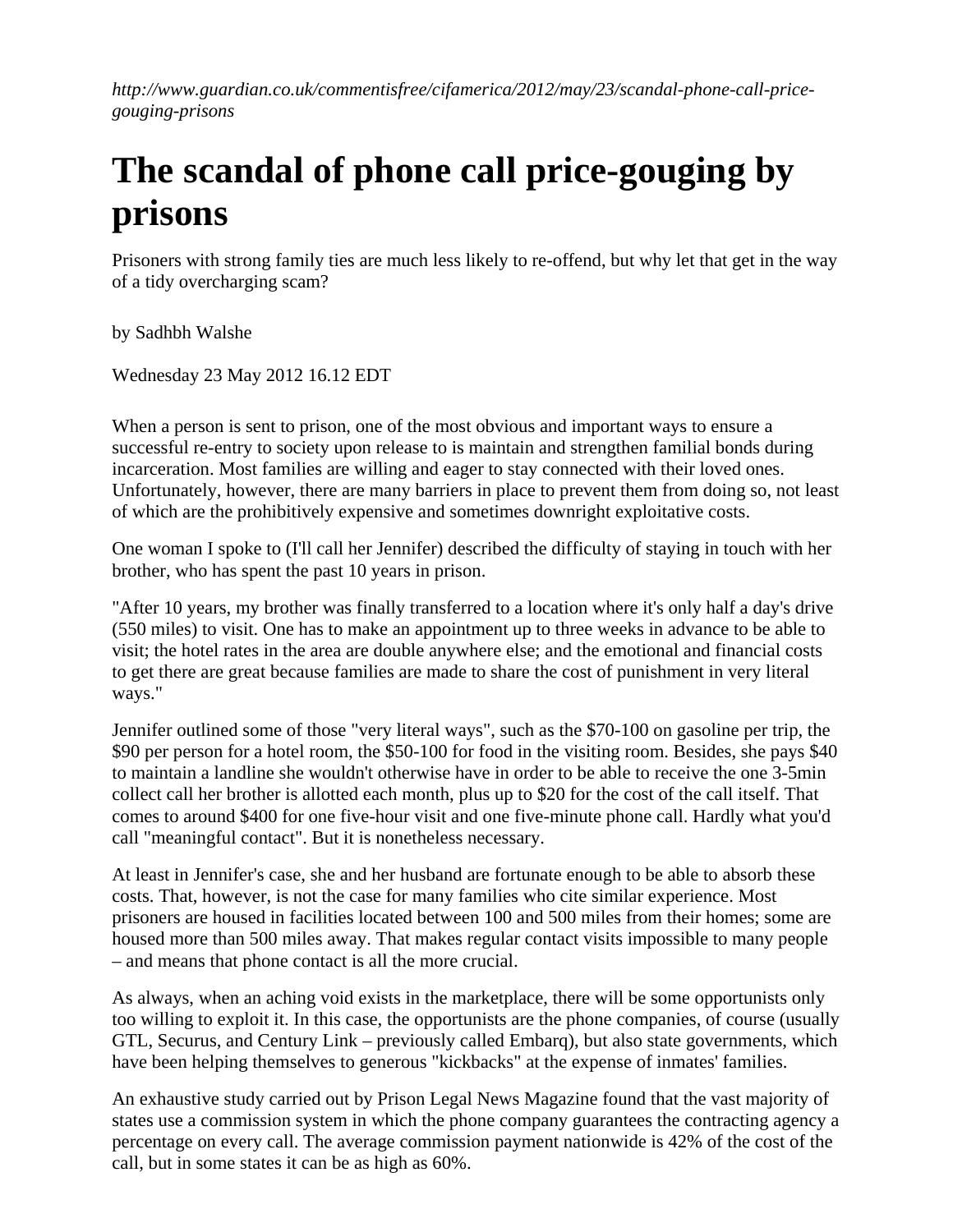*http://www.guardian.co.uk/commentisfree/cifamerica/2012/may/23/scandal-phone-call-pricegouging-prisons* 

# **The scandal of phone call price-gouging by prisons**

Prisoners with strong family ties are much less likely to re-offend, but why let that get in the way of a tidy overcharging scam?

by [Sadhbh Walshe](http://www.guardian.co.uk/profile/sadhbh-walshe)

Wednesday 23 May 2012 16.12 EDT

When a person is sent to prison, one of the most obvious and important ways to ensure a successful re-entry to society upon release to is maintain and strengthen familial bonds during incarceration. Most families are willing and eager to stay connected with their loved ones. Unfortunately, however, there are many barriers in place to prevent them from doing so, not least of which are the [prohibitively expensive and sometimes downright exploitative costs](http://colorlines.com/archives/2012/05/prison_phone_rates.html).

One woman I spoke to (I'll call her Jennifer) described the difficulty of staying in touch with her brother, who has spent the past 10 years in prison.

"After 10 years, my brother was finally transferred to a location where it's only half a day's drive (550 miles) to visit. One has to make an appointment up to three weeks in advance to be able to visit; the hotel rates in the area are double anywhere else; and the emotional and financial costs to get there are great because families are made to share the cost of punishment in very literal ways."

Jennifer outlined some of those "very literal ways", such as the \$70-100 on gasoline per trip, the \$90 per person for a hotel room, the \$50-100 for food in the visiting room. Besides, she pays \$40 to maintain a landline she wouldn't otherwise have in order to be able to receive the one 3-5min collect call her brother is allotted each month, plus up to \$20 for the cost of the call itself. That comes to around \$400 for one five-hour visit and one five-minute phone call. Hardly what you'd call "meaningful contact". But it is nonetheless necessary.

At least in Jennifer's case, she and her husband are fortunate enough to be able to absorb these costs. That, however, is not the case for many families who cite similar experience. Most prisoners are housed in facilities located between 100 and 500 miles from their homes; some are housed more than 500 miles away. That makes regular contact visits impossible to many people – and means that phone contact is all the more crucial.

As always, when an aching void exists in the marketplace, there will be some opportunists only too willing to exploit it. In this case, the opportunists are the phone companies, of course (usually GTL, Securus, and Century Link – previously called Embarq), but also state governments, which have been helping themselves to generous "kickbacks" at the expense of inmates' families.

An [exhaustive study carried out by Prison Legal News Magazine found](https://www.prisonlegalnews.org/%28S%28wzsahjerpkq45u55me3blf55%29%29/displayArticle.aspx?articleid=23083&AspxAutoDetectCookieSupport=1) that the vast majority of states use a commission system in which the phone company guarantees the contracting agency a percentage on every call. The average commission payment nationwide is 42% of the cost of the call, but in some states it can be as high as 60%.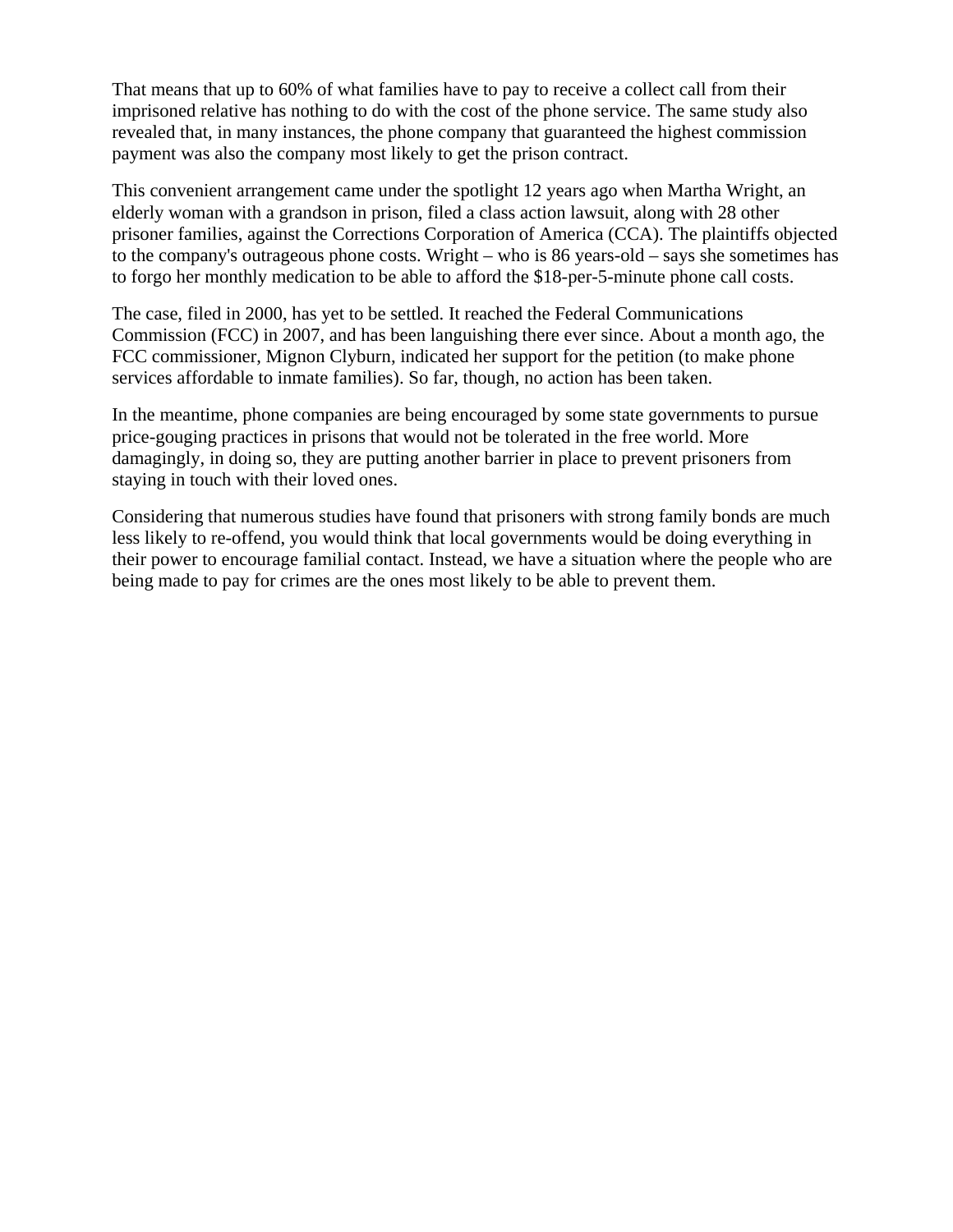That means that up to 60% of what families have to pay to receive a collect call from their imprisoned relative has nothing to do with the cost of the phone service. The same study also revealed that, in many instances, the phone company that guaranteed the highest commission payment was also the company most likely to get the prison contract.

This convenient arrangement came under the spotlight 12 years ago when Martha Wright, an elderly woman with a grandson in prison, filed a class action lawsuit, along with 28 other prisoner families, against the Corrections Corporation of America (CCA). The plaintiffs objected to the company's outrageous phone costs. Wright – who is 86 years-old – says she sometimes has to forgo her monthly medication to be able to afford the \$18-per-5-minute phone call costs.

[The case](http://ccrjustice.org/Wright-v-CCA), filed in 2000, has yet to be settled. It [reached the Federal Communications](http://ccrjustice.org/Wright-v-CCA)  [Commission \(FCC\) in 2007,](http://ccrjustice.org/Wright-v-CCA) and has been languishing there ever since. About a month ago, the FCC commissioner, Mignon Clyburn, indicated her support for the petition (to make phone services affordable to inmate families). So far, though, no action has been taken.

In the meantime, phone companies are being encouraged by some state governments to pursue price-gouging practices in prisons that would not be tolerated in the free world. More damagingly, in doing so, they are putting another barrier in place to prevent prisoners from staying in touch with their loved ones.

Considering that [numerous studies](http://www.doc.state.mn.us/publications/documents/11-11MNPrisonVisitationStudy.pdf) have found that prisoners with strong family bonds are much less likely to re-offend, you would think that local governments would be doing everything in their power to encourage familial contact. Instead, we have a situation where the people who are being made to pay for crimes are the ones most likely to be able to prevent them.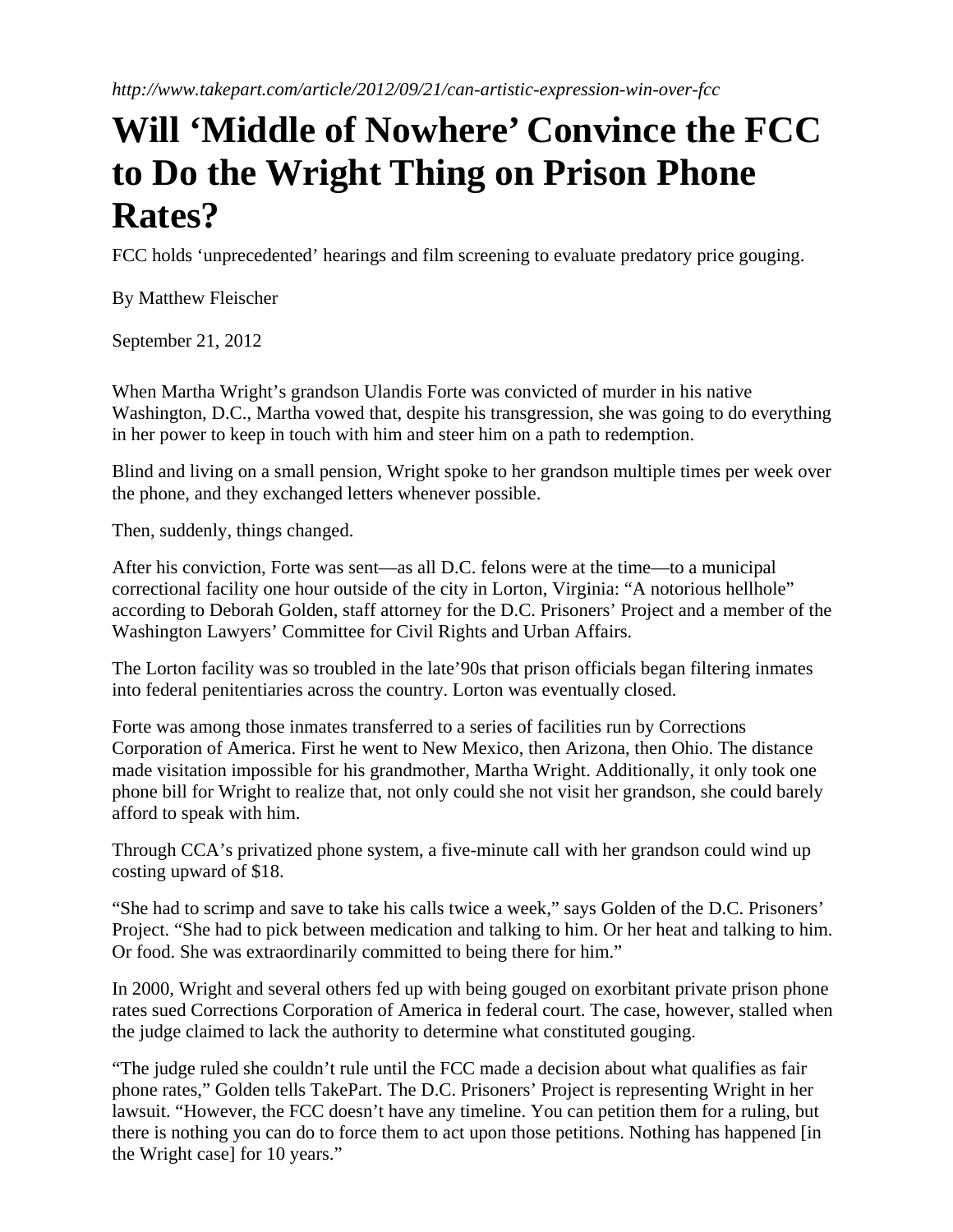# **Will 'Middle of Nowhere' Convince the FCC to Do the Wright Thing on Prison Phone Rates?**

FCC holds 'unprecedented' hearings and film screening to evaluate predatory price gouging.

By [Matthew Fleischer](http://www.takepart.com/author/matthew-fleischer) 

September 21, 2012

When Martha Wright's grandson Ulandis Forte was convicted of murder in his native Washington, D.C., Martha vowed that, despite his transgression, she was going to do everything in her power to keep in touch with him and steer him on [a path to redemption](http://www.takepart.com/article/2011/01/07/two-wheeled-redemption-brit-convicts-fix-bikes-african-kids).

Blind and [living on a small pension,](http://www.takepart.com/article/2010/09/16/census-shows-sharp-increase-us-poor) Wright spoke to her grandson multiple times per week over the phone, and they exchanged letters whenever possible.

Then, suddenly, things changed.

After his conviction, Forte was sent—as all D.C. felons were at the time—to a municipal correctional facility one hour outside of the city in Lorton, Virginia: ["A notorious hellhole](http://www.takepart.com/article/2012/04/24/americas-out-control-jail-culture)" according to Deborah Golden, staff attorney for the D.C. Prisoners' Project and a member of the [Washington Lawyers' Committee for Civil Rights and Urban Affairs](http://www.washlaw.org/).

The Lorton facility was so troubled in the late'90s that prison officials began filtering inmates into federal penitentiaries across the country. Lorton was eventually closed.

Forte was among those inmates transferred to a series of facilities run by Corrections Corporation of America. First he went to New Mexico, then Arizona, then Ohio. The distance made visitation impossible for his grandmother, Martha Wright. Additionally, it only took one phone bill for Wright to realize that, not only could she not visit her grandson, she could barely afford to speak with him.

Through CCA's privatized phone system, a five-minute call with her grandson could wind up costing upward of \$18.

"She had to scrimp and save to take his calls twice a week," says Golden of the D.C. Prisoners' Project. "She had to pick between medication and talking to him. Or her heat and talking to him. Or food. She was extraordinarily committed to being there for him."

In 2000, Wright and several others fed up with being gouged on [exorbitant private prison phone](http://www.takepart.com/article/2012/08/30/dont-let-prison-phone-rates-increase-crime-your-neighborhood)  [rates](http://www.takepart.com/article/2012/08/30/dont-let-prison-phone-rates-increase-crime-your-neighborhood) sued Corrections Corporation of America in federal court. The case, however, stalled when the judge claimed to lack the authority to determine what constituted gouging.

"The judge ruled she couldn't rule until the FCC made a decision about what qualifies as fair phone rates," Golden tells TakePart. The D.C. Prisoners' Project is representing Wright in her lawsuit. "However, the FCC doesn't have any timeline. You can petition them for a ruling, but there is nothing you can do to force them to act upon those petitions. Nothing has happened [in the Wright case] for 10 years."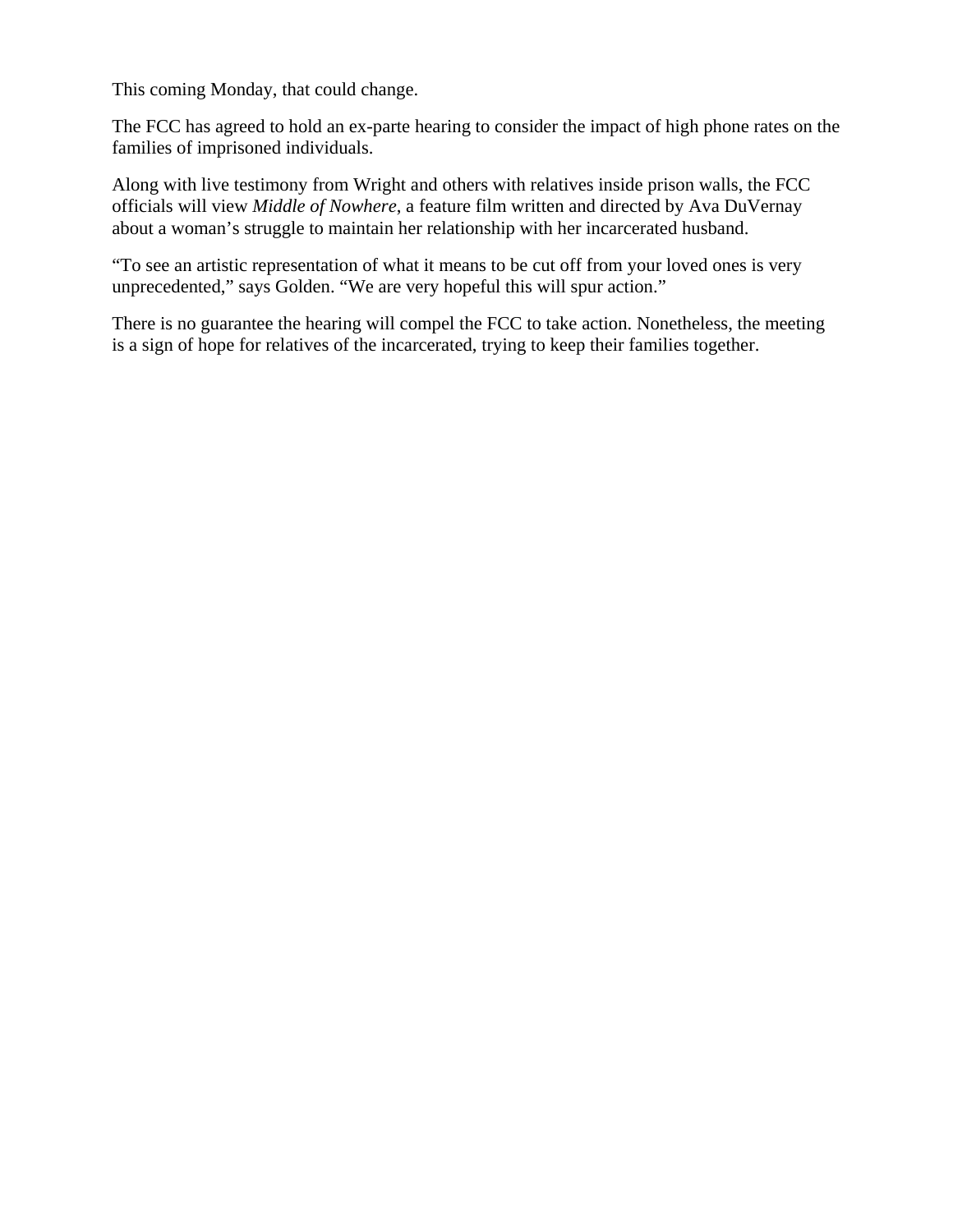This coming Monday, that could change.

The FCC has agreed to hold an ex-parte hearing to consider the impact of high phone rates on the families of imprisoned individuals.

Along with live testimony from Wright and others with relatives inside prison walls, the FCC officials will view *Middle of Nowhere*, a feature film [written and directed by Ava DuVernay](http://www.takepart.com/article/2012/09/12/middle-nowhere-director-if-i-could-i-would-abolish-prisons) about a woman's struggle to maintain her relationship with her incarcerated husband.

"To see an artistic representation of what it means to be cut off from your loved ones is very unprecedented," says Golden. "We are very hopeful this will spur action."

There is no guarantee the hearing will compel the FCC to take action. Nonetheless, the meeting is a sign of hope for relatives of the incarcerated, trying to keep their families together.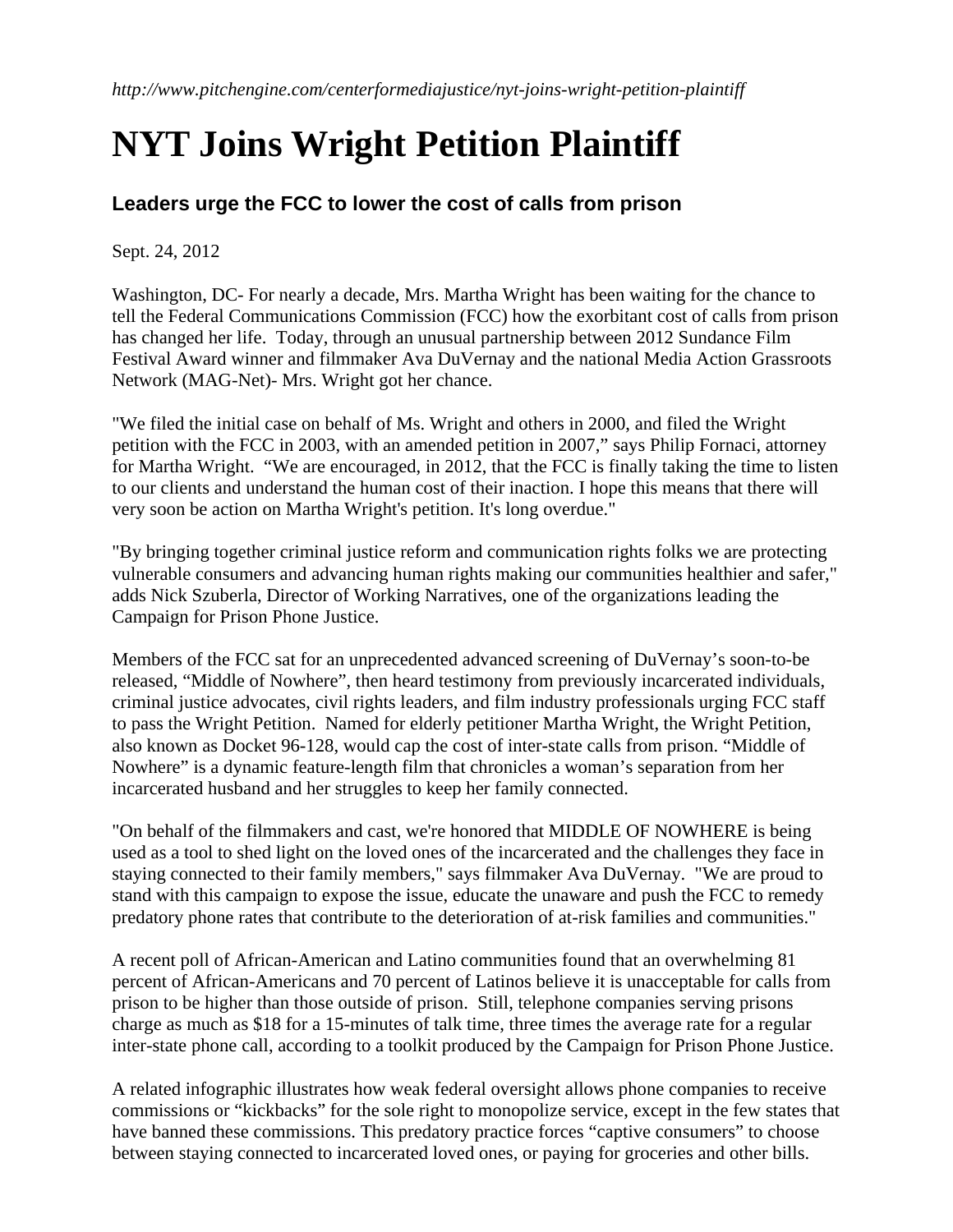## **NYT Joins Wright Petition Plaintiff**

### **Leaders urge the FCC to lower the cost of calls from prison**

#### Sept. 24, 2012

Washington, DC- For nearly a decade, Mrs. Martha Wright has been waiting for the chance to tell the [Federal Communications Commission \(FCC\)](http://www.fcc.gov/) how the exorbitant cost of calls from prison has changed her life. Today, [through an unusual partnership](http://www.takepart.com/MiddleOfNowhere/TakeAction) between 2012 Sundance Film Festival Award winner and filmmaker Ava DuVernay and the national [Media Action Grassroots](http://mag-net.org/)  [Network \(MAG-Net\)](http://mag-net.org/)- Mrs. Wright got her chance.

"We filed the initial case on behalf of Ms. Wright and others in 2000, and [filed the Wright](http://apps.fcc.gov/ecfs/proceeding/view?name=96-128)  [petition with the FCC in 2003, with an amended petition in 2007,](http://apps.fcc.gov/ecfs/proceeding/view?name=96-128)" says Philip Fornaci, attorney for Martha Wright. "We are encouraged, in 2012, that the FCC is finally taking the time to listen to our clients and understand the human cost of their inaction. I hope this means that there will very soon be action on Martha Wright's petition. It's long overdue."

"By bringing together criminal justice reform and communication rights folks we are protecting vulnerable consumers and advancing human rights making our communities healthier and safer," adds Nick Szuberla, [Director of Working Narratives, one of the organizations leading the](http://kitescampaigns.org/campaign/prison-phone-justice/)  [Campaign for Prison Phone Justice.](http://kitescampaigns.org/campaign/prison-phone-justice/)

Members of the FCC sat for an unprecedented advanced screening of DuVernay's [soon-to-be](http://www.takepart.com/MiddleOfNowhere)  [released, "Middle of Nowhere",](http://www.takepart.com/MiddleOfNowhere) then heard testimony from previously incarcerated individuals, criminal justice advocates, civil rights leaders, and film industry professionals urging FCC staff to [pass the Wright Petition.](http://apps.fcc.gov/ecfs/proceeding/view?name=96-128) Named for elderly petitioner Martha Wright, [the Wright Petition,](http://ccrjustice.org/Wright-v-CCA) also known as [Docket 96-128,](http://apps.fcc.gov/ecfs/proceeding/view?name=96-128) would cap the cost of inter-state calls from prison. "Middle of Nowhere" is a dynamic feature-length film that chronicles a woman's separation from her incarcerated husband and her struggles to keep her family connected.

"On behalf of the filmmakers and cast, we're honored that MIDDLE OF NOWHERE is being used as a tool to shed light on the loved ones of the incarcerated and the challenges they face in staying connected to their family members," says filmmaker Ava DuVernay. "We are proud to stand with this [campaign to expose the issue,](http://kitescampaigns.org/campaign/prison-phone-justice/) educate the unaware and push the FCC to remedy predatory phone rates that contribute to the deterioration of at-risk families and communities."

A recent [poll](http://www.mediafire.com/file/eu30asfsttb0tb9/FORD-LCEF_PRISON_PHONES_PUBLIC_FINAL_update.pdf) [of African-American and Latino communities found that an overwhelming 81](http://www.mediafire.com/?eu30asfsttb0tb9)  [percent of African-Americans and 70 percent of Latinos believe it is unacceptable for calls from](http://www.mediafire.com/?eu30asfsttb0tb9)  [prison to be higher than those outside of prison.](http://www.mediafire.com/?eu30asfsttb0tb9) Still, telephone companies serving prisons charge as much as \$18 for a 15-minutes of talk time, three times the average rate for a regular inter-state phone call, according to a [toolkit produced by the Campaign for Prison Phone Justice.](http://org2.democracyinaction.org/o/6220/p/salsa/web/common/public/signup?signup_page_KEY=6897)

A related [infographic illustrates how weak federal oversight allows phone companies to receive](http://mag-net.org/blog/infographic-families-paying-price-high-cost-prison-phone-calls)  [commissions or "kickbacks"](http://mag-net.org/blog/infographic-families-paying-price-high-cost-prison-phone-calls) for the sole right to monopolize service, except in the few states that have banned these commissions. This predatory practice forces "captive consumers" to choose between staying connected to incarcerated loved ones, or paying for groceries and other bills.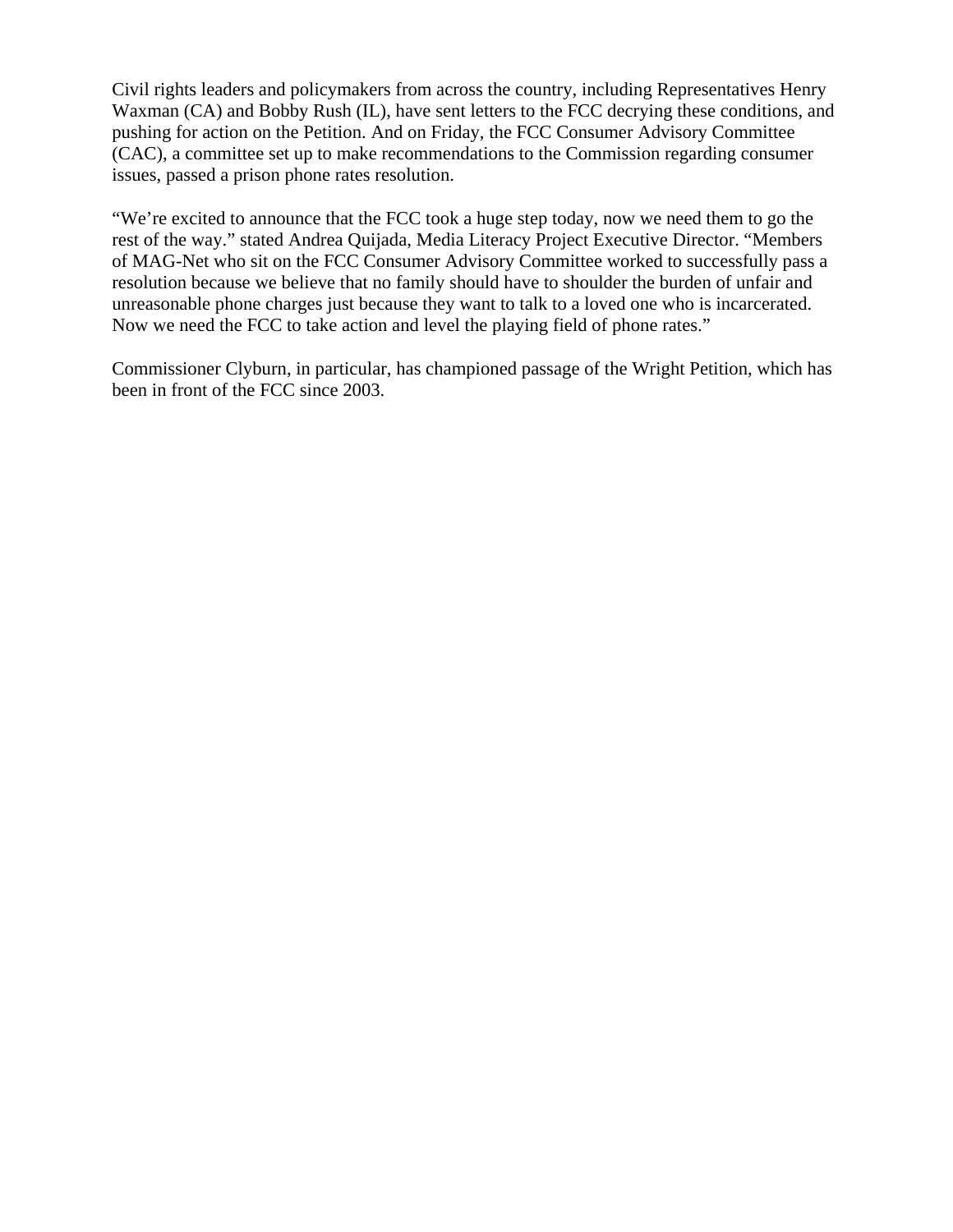Civil rights leaders and policymakers from across the country, including [Representatives Henry](http://www.publicknowledge.org/files/Genachowski.PrisonPhones.2012.9.12.pdf)  [Waxman \(CA\) and Bobby Rush \(IL\), have sent letters](http://www.publicknowledge.org/files/Genachowski.PrisonPhones.2012.9.12.pdf) to the FCC decrying these conditions, and [pushing for action](http://www.civilrights.org/press/2012/in-joint-letter-left-right.html) on the Petition. And on Friday, the [FCC Consumer Advisory Committee](http://www.fcc.gov/encyclopedia/consumer-advisory-committee)  [\(CAC\),](http://www.fcc.gov/encyclopedia/consumer-advisory-committee) a committee set up to make recommendations to the Commission regarding consumer issues, passed a prison phone rates resolution.

"We're excited to announce that the FCC took a huge step today, now we need them to go the rest of the way." stated Andrea Quijada, [Media Literacy Project Executive Director.](http://medialiteracyproject.org/) "Members of MAG-Net who sit on the FCC Consumer Advisory Committee worked to successfully pass a resolution because we believe that no family should have to shoulder the burden of unfair and unreasonable phone charges just because they want to talk to a loved one who is incarcerated. Now we need the FCC to take action and level the playing field of phone rates."

Commissioner Clyburn, in particular, has championed [passage of the Wright Petition,](http://apps.fcc.gov/ecfs/proceeding/view?name=96-128) which has been in front of the FCC since 2003.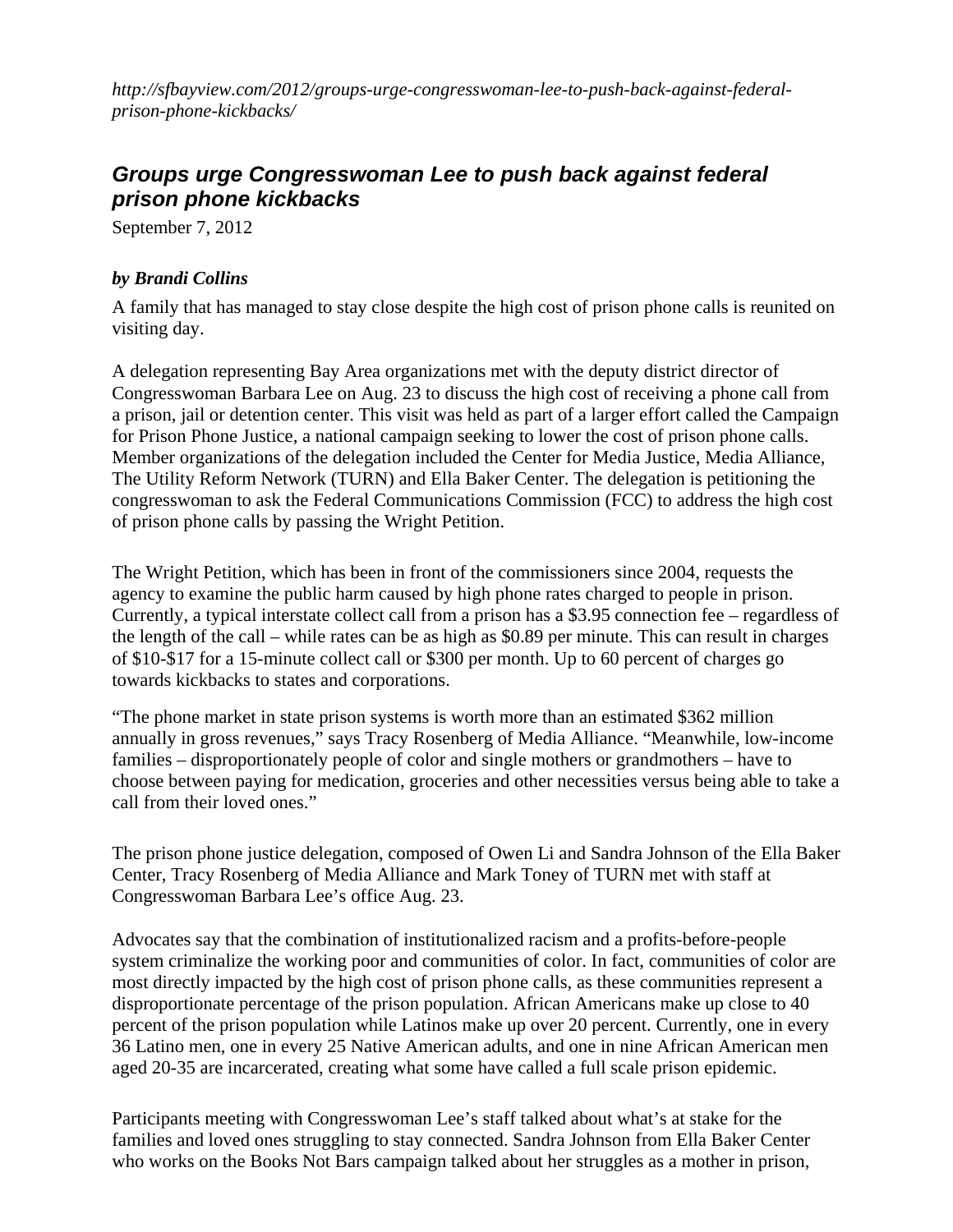*http://sfbayview.com/2012/groups-urge-congresswoman-lee-to-push-back-against-federalprison-phone-kickbacks/* 

## *[Groups urge Congresswoman Lee to push back against federal](http://sfbayview.com/2012/groups-urge-congresswoman-lee-to-push-back-against-federal-prison-phone-kickbacks/)  [prison phone kickbacks](http://sfbayview.com/2012/groups-urge-congresswoman-lee-to-push-back-against-federal-prison-phone-kickbacks/)*

September 7, 2012

#### *by Brandi Collins*

A family that has managed to stay close despite the high cost of prison phone calls is reunited on visiting day.

A delegation representing Bay Area organizations met with the deputy district director of Congresswoman Barbara Lee on Aug. 23 to discuss the high cost of receiving a phone call from a prison, jail or detention center. This visit was held as part of a larger effort called the Campaign for Prison Phone Justice, a national campaign seeking to lower the cost of prison phone calls. Member organizations of the delegation included the Center for Media Justice, Media Alliance, The Utility Reform Network (TURN) and Ella Baker Center. The delegation is petitioning the congresswoman to ask the Federal Communications Commission (FCC) to address the high cost of prison phone calls by passing the Wright Petition.

The Wright Petition, which has been in front of the commissioners since 2004, requests the agency to examine the public harm caused by high phone rates charged to people in prison. Currently, a typical interstate collect call from a prison has a \$3.95 connection fee – regardless of the length of the call – while rates can be as high as \$0.89 per minute. This can result in charges of \$10-\$17 for a 15-minute collect call or \$300 per month. Up to 60 percent of charges go towards kickbacks to states and corporations.

"The phone market in state prison systems is worth more than an estimated \$362 million annually in gross revenues," says Tracy Rosenberg of Media Alliance. "Meanwhile, low-income families – disproportionately people of color and single mothers or grandmothers – have to choose between paying for medication, groceries and other necessities versus being able to take a call from their loved ones."

The prison phone justice delegation, composed of Owen Li and Sandra Johnson of the Ella Baker Center, Tracy Rosenberg of Media Alliance and Mark Toney of TURN met with staff at Congresswoman Barbara Lee's office Aug. 23.

Advocates say that the combination of institutionalized racism and a profits-before-people system criminalize the working poor and communities of color. In fact, communities of color are most directly impacted by the high cost of prison phone calls, as these communities represent a disproportionate percentage of the prison population. African Americans make up close to 40 percent of the prison population while Latinos make up over 20 percent. Currently, one in every 36 Latino men, one in every 25 Native American adults, and one in nine African American men aged 20-35 are incarcerated, creating what some have called a full scale prison epidemic.

Participants meeting with Congresswoman Lee's staff talked about what's at stake for the families and loved ones struggling to stay connected. Sandra Johnson from Ella Baker Center who works on the Books Not Bars campaign talked about her struggles as a mother in prison,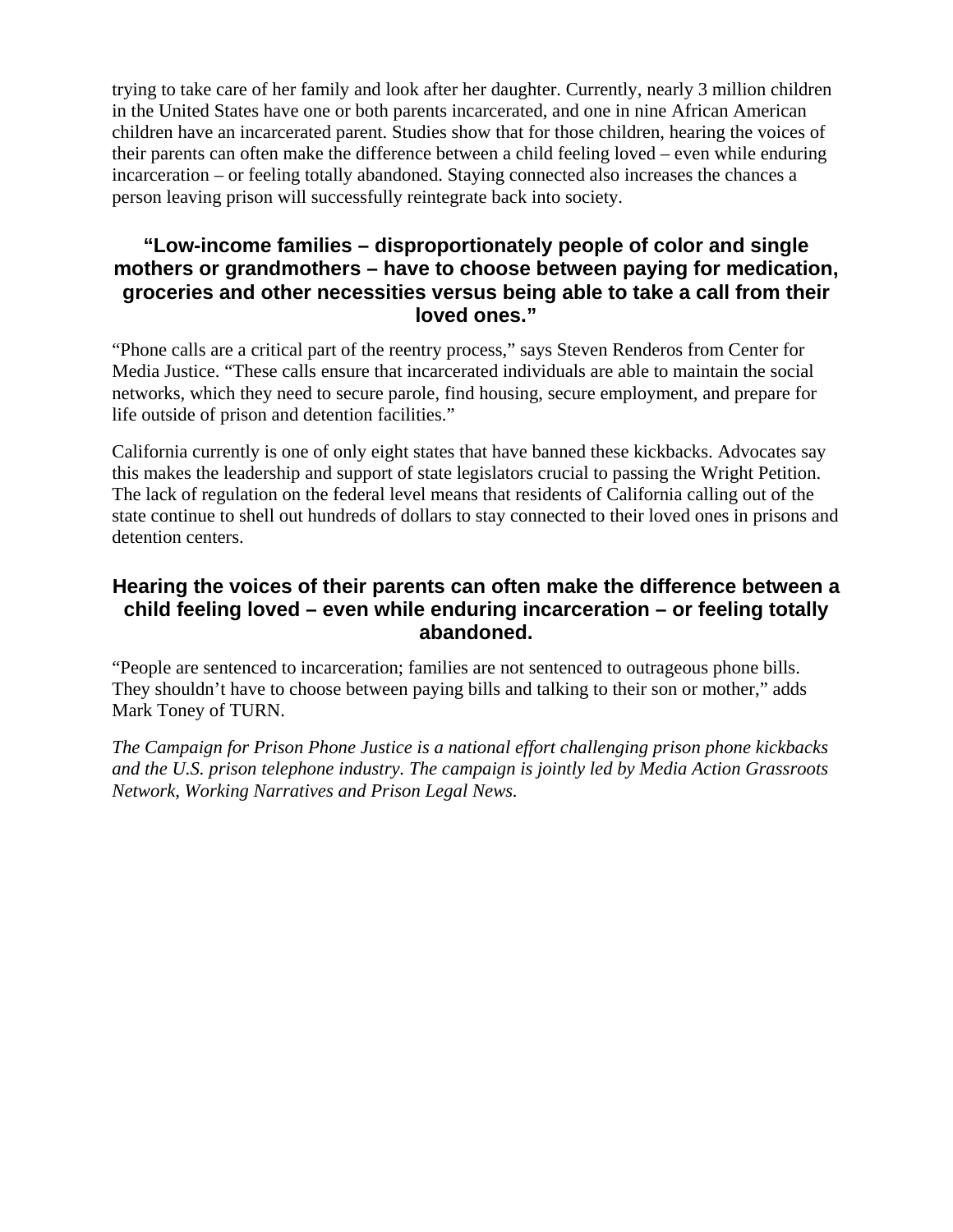trying to take care of her family and look after her daughter. Currently, nearly 3 million children in the United States have one or both parents incarcerated, and one in nine African American children have an incarcerated parent. Studies show that for those children, hearing the voices of their parents can often make the difference between a child feeling loved – even while enduring incarceration – or feeling totally abandoned. Staying connected also increases the chances a person leaving prison will successfully reintegrate back into society.

#### **"Low-income families – disproportionately people of color and single mothers or grandmothers – have to choose between paying for medication, groceries and other necessities versus being able to take a call from their loved ones."**

"Phone calls are a critical part of the reentry process," says Steven Renderos from Center for Media Justice. "These calls ensure that incarcerated individuals are able to maintain the social networks, which they need to secure parole, find housing, secure employment, and prepare for life outside of prison and detention facilities."

California currently is one of only eight states that have banned these kickbacks. Advocates say this makes the leadership and support of state legislators crucial to passing the Wright Petition. The lack of regulation on the federal level means that residents of California calling out of the state continue to shell out hundreds of dollars to stay connected to their loved ones in prisons and detention centers.

### **Hearing the voices of their parents can often make the difference between a child feeling loved – even while enduring incarceration – or feeling totally abandoned.**

"People are sentenced to incarceration; families are not sentenced to outrageous phone bills. They shouldn't have to choose between paying bills and talking to their son or mother," adds Mark Toney of TURN.

*The Campaign for Prison Phone Justice is a national effort challenging prison phone kickbacks and the U.S. prison telephone industry. The campaign is jointly led by Media Action Grassroots Network, Working Narratives and Prison Legal News.*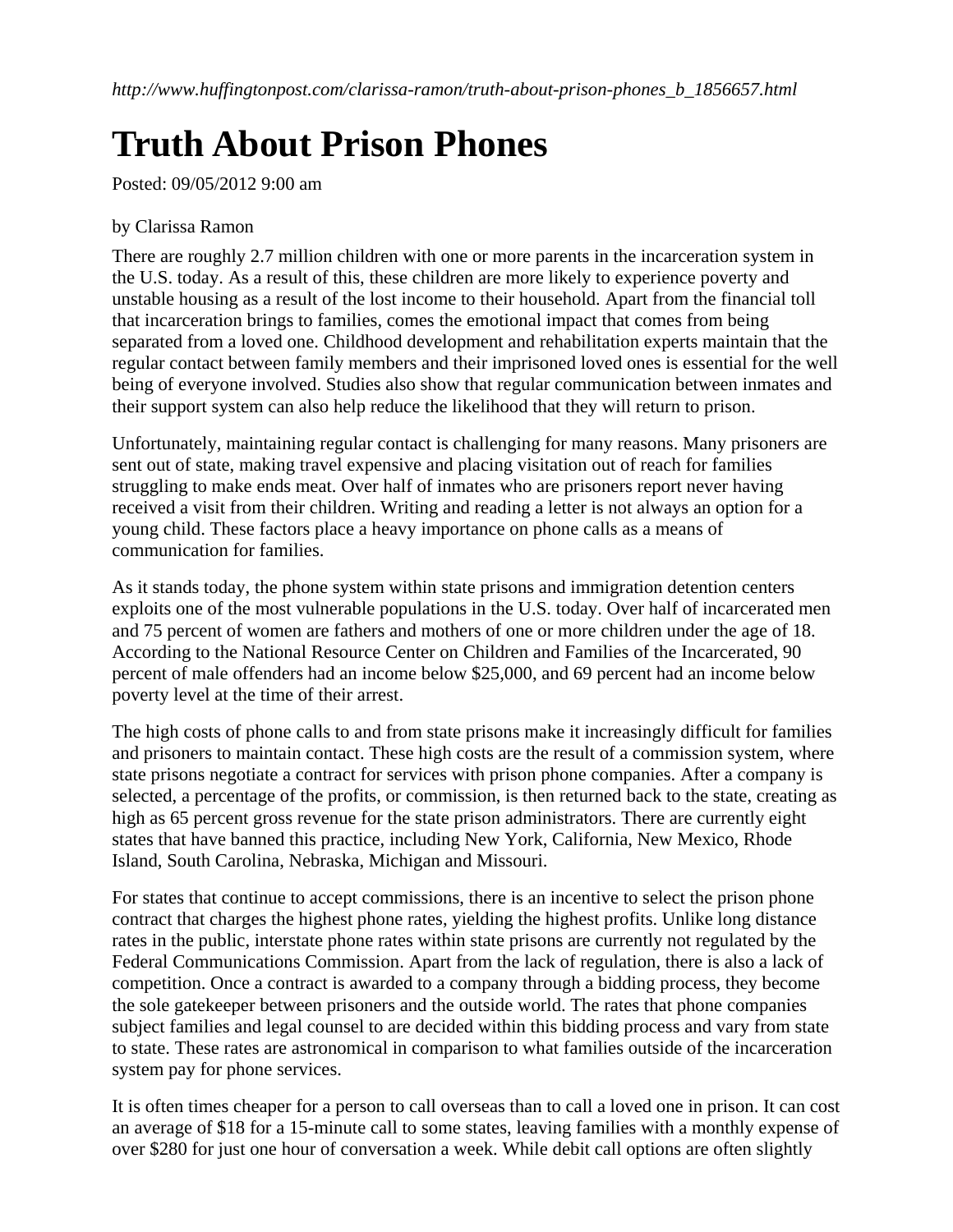*http://www.huffingtonpost.com/clarissa-ramon/truth-about-prison-phones\_b\_1856657.html* 

# **Truth About Prison Phones**

Posted: 09/05/2012 9:00 am

#### by Clarissa Ramon

There are roughly [2.7 million children](http://www.rawstory.com/rs/2010/09/29/one-28-kids-parent-jail-study/) with one or more parents in the incarceration system in the U.S. today. As a result of this, these children are more likely to experience poverty and unstable housing as a result of the lost income to their household. Apart from the financial toll that incarceration brings to families, comes the emotional impact that comes from being separated from a loved one. Childhood development and rehabilitation experts maintain that the regular contact between family members and their imprisoned loved ones is essential for the well being of everyone involved. Studies also [show](http://www.doc.state.mn.us/publications/documents/11-11MNPrisonVisitationStudy.pdf) that regular communication between inmates and their support system can also help reduce the likelihood that they will return to prison.

Unfortunately, maintaining regular contact is challenging for many reasons. Many prisoners are sent out of state, making travel expensive and placing visitation out of reach for families struggling to make ends meat. Over half of inmates who are prisoners report never having received a visit from their children. Writing and reading a letter is not always an option for a young child. These factors place a heavy importance on phone calls as a means of communication for families.

As it stands today, the phone system within state prisons and immigration detention centers exploits one of the most vulnerable populations in the U.S. today. Over [half of incarcerated men](http://www.fcnetwork.org/Resource%20Center/overview-statistics.htm)  [and 75 percent of women](http://www.fcnetwork.org/Resource%20Center/overview-statistics.htm) are fathers and mothers of one or more children under the age of 18. According to the National Resource Center on Children and Families of the Incarcerated, [90](http://www.fcnetwork.org/Resource%20Center/overview-statistics.htm)  [percent of male offenders](http://www.fcnetwork.org/Resource%20Center/overview-statistics.htm) had an income below \$25,000, and 69 percent had an income below poverty level at the time of their arrest.

The high costs of phone calls to and from state prisons make it increasingly difficult for families and prisoners to maintain contact. These high costs are the result of a [commission system,](https://www.prisonlegalnews.org/%28S%28wzsahjerpkq45u55me3blf55%29%29/displayArticle.aspx?articleid=23083&AspxAutoDetectCookieSupport=1) where state prisons negotiate a contract for services with prison phone companies. After a company is selected, a percentage of the profits, or commission, is then returned back to the state, creating as high as 65 percent gross revenue for the state prison administrators. There are currently eight states that have banned this practice, including New York, California, New Mexico, Rhode Island, South Carolina, Nebraska, Michigan and Missouri.

For states that continue to accept commissions, there is an incentive to select the prison phone contract that charges the highest phone rates, yielding the highest profits. Unlike long distance rates in the public, interstate phone rates within state prisons are currently not regulated by the Federal Communications Commission. Apart from the lack of regulation, there is also a lack of competition. Once a contract is awarded to a company through a bidding process, they become the sole gatekeeper between prisoners and the outside world. The rates that phone companies subject families and legal counsel to are decided within this bidding process and vary from state to state. These rates are astronomical in comparison to what families outside of the incarceration system pay for phone services.

It is often times cheaper for a person to call overseas than to call a loved one in prison. It can cost an average of \$18 for a 15-minute call to some states, leaving families with a monthly expense of over \$280 for just one hour of conversation a week. While debit call options are often slightly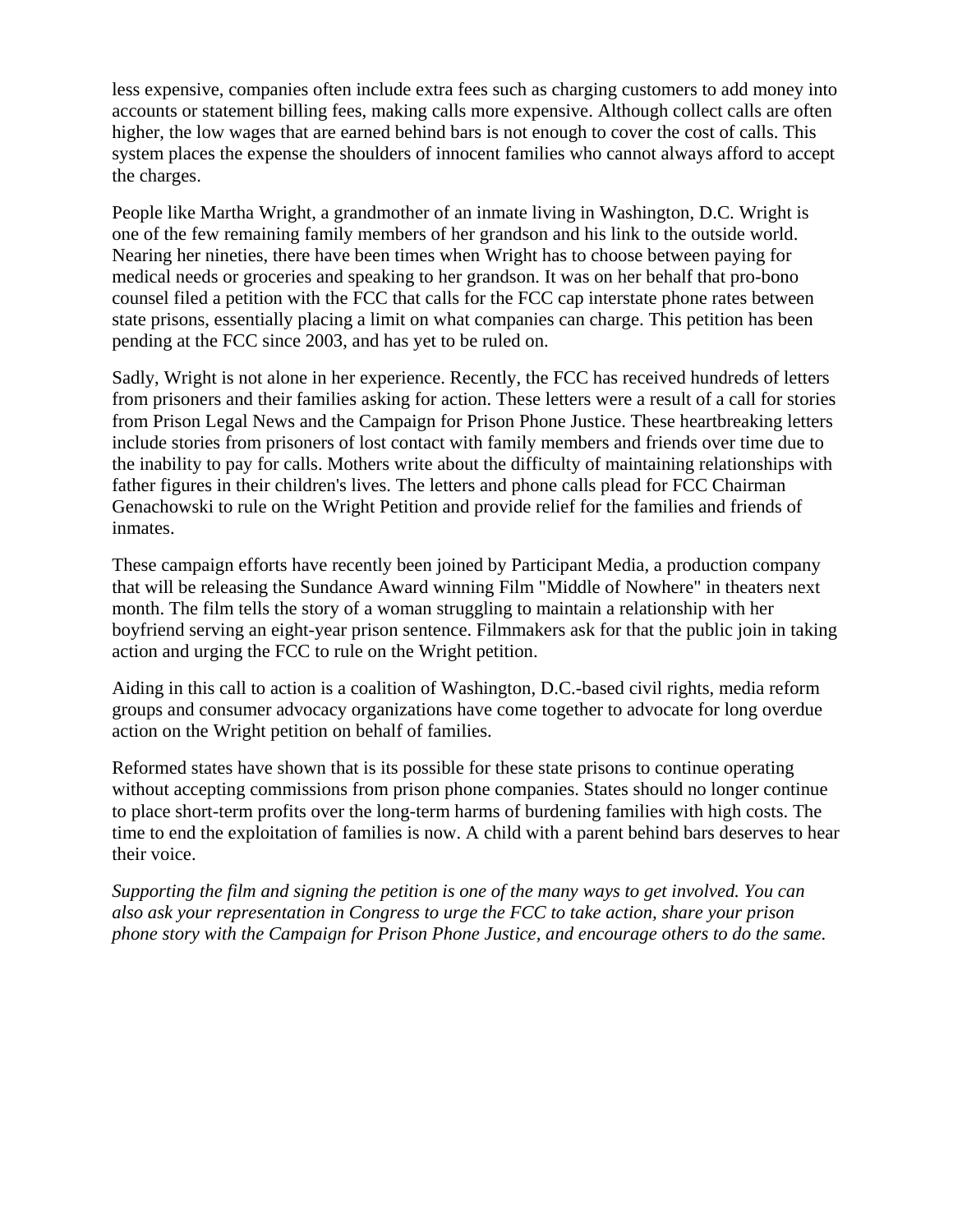less expensive, companies often include extra fees such as charging customers to add money into accounts or statement billing fees, making calls more expensive. Although collect calls are often higher, the low wages that are earned behind bars is not enough to cover the cost of calls. This system places the expense the shoulders of innocent families who cannot always afford to accept the charges.

People like [Martha Wright](http://www.youtube.com/watch?v=3EYSOyLFqBA&feature=bf_prev&list=UUeXA0uRjL3hbuq8pe61Woww), a grandmother of an inmate living in Washington, D.C. Wright is one of the few remaining family members of her grandson and his link to the outside world. Nearing her nineties, there have been times when Wright has to choose between paying for medical needs or groceries and speaking to her grandson. It was on her behalf that pro-bono counsel filed a [petition](http://apps.fcc.gov/ecfs/document/view.action?id=6518908681) with the FCC that calls for the FCC cap interstate phone rates between state prisons, essentially placing a limit on what companies can charge. This petition has been pending at the FCC since 2003, and has yet to be ruled on.

Sadly, Wright is not alone in her experience. Recently, the FCC has received [hundreds](http://apps.fcc.gov/ecfs/comment_search/execute?proceeding=96-128&applicant=&lawfirm=&author=&disseminated.minDate=&disseminated.maxDate=&recieved.minDate=8%2F22%2F11&recieved.maxDate=&dateCommentPeriod.minDate=&dateCommentPeriod.maxDate=&dateReplyComment.minDate=&dateReplyComment.maxDate=&address.city=&address.state.stateCd=&address.zip=&daNumber=&fileNumber=&bureauIdentificationNumber=&reportNumber=&submissionTypeId=&__checkbox_exParte=true) of letters from prisoners and their families asking for action. These letters were a result of a call for stories from [Prison Legal News](https://www.prisonlegalnews.org/default.aspx) and the [Campaign for Prison Phone Justice](http://kitescampaigns.org/campaign/prison-phone-justice/). These heartbreaking letters include stories from prisoners of lost contact with family members and friends over time due to the inability to pay for calls. Mothers write about the difficulty of maintaining relationships with father figures in their children's lives. The letters and phone calls plead for FCC Chairman Genachowski to rule on the Wright Petition and provide relief for the families and friends of inmates.

These campaign efforts have recently been joined by Participant Media, a production company that will be releasing the Sundance Award winning Film ["Middle of Nowhere"](http://www.takepart.com/MiddleofNowhere) in theaters next month. The film tells the story of a woman struggling to maintain a relationship with her boyfriend serving an eight-year prison sentence. Filmmakers ask for that the public join in [taking](http://www.takepart.com/MiddleofNowhere)  [action](http://www.takepart.com/MiddleofNowhere) and urging the FCC to rule on the Wright petition.

Aiding in this call to action is a coalition of Washington, D.C.-based civil rights, media reform groups and consumer advocacy organizations have come together to [advocate](http://www.publicknowledge.org/blog/prison-phone-reform-brings-together-left-and-) for long overdue action on the Wright petition on behalf of families.

Reformed states have shown that is its possible for these state prisons to continue operating without accepting commissions from prison phone companies. States should no longer continue to place short-term profits over the long-term harms of burdening families with high costs. The time to end the exploitation of families is now. A child with a parent behind bars deserves to hear their voice.

*Supporting the film and signing the petition is one of the many ways to get involved. You can also ask your representation in Congress to urge the FCC to take action, share your prison phone story with the Campaign for Prison Phone Justice, and encourage others to do the same.*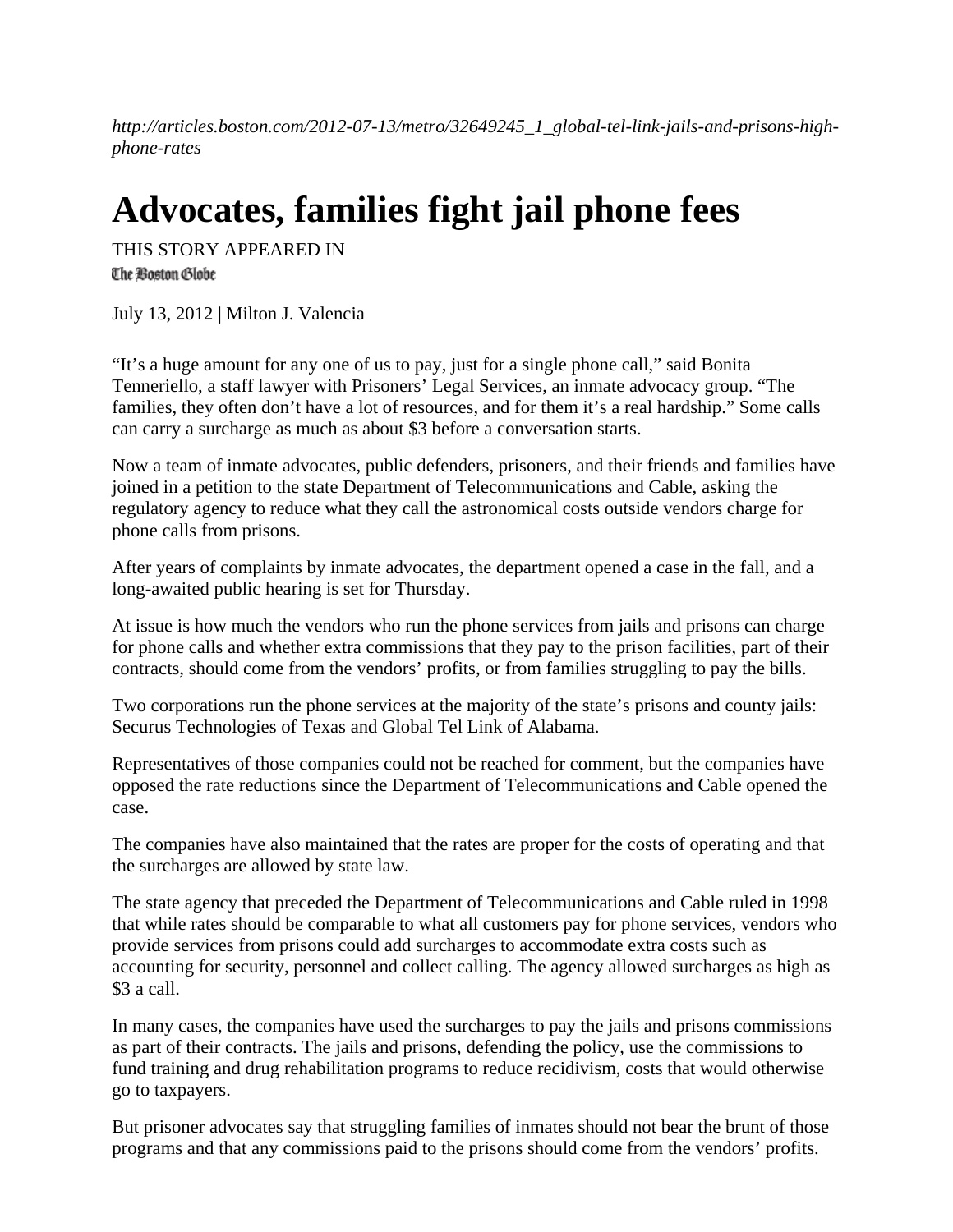*http://articles.boston.com/2012-07-13/metro/32649245\_1\_global-tel-link-jails-and-prisons-highphone-rates* 

## **Advocates, families fight jail phone fees**

THIS STORY APPEARED IN The Boston Globe

July 13, 2012 | [Milton J. Valencia](http://www.bostonglobe.com/staff/valencia) 

"It's a huge amount for any one of us to pay, just for a single phone call," said Bonita Tenneriello, a staff lawyer with Prisoners' Legal Services, an inmate advocacy group. "The families, they often don't have a lot of resources, and for them it's a real hardship." Some calls can carry a surcharge as much as about \$3 before a conversation starts.

Now a team of inmate advocates, public defenders, prisoners, and their friends and families have joined in a petition to the state Department of Telecommunications and Cable, asking the regulatory agency to reduce what they call the astronomical costs outside vendors charge for phone calls from prisons.

After years of complaints by inmate advocates, the department opened a case in the fall, and a long-awaited public hearing is set for Thursday.

At issue is how much the vendors who run the phone services from jails and prisons can charge for phone calls and whether extra commissions that they pay to the prison facilities, part of their contracts, should come from the vendors' profits, or from families struggling to pay the bills.

Two corporations run the phone services at the majority of the state's prisons and county jails: Securus Technologies of Texas and Global Tel Link of Alabama.

Representatives of those companies could not be reached for comment, but the companies have opposed the rate reductions since the Department of Telecommunications and Cable opened the case.

The companies have also maintained that the rates are proper for the costs of operating and that the surcharges are allowed by state law.

The state agency that preceded the Department of Telecommunications and Cable ruled in 1998 that while rates should be comparable to what all customers pay for phone services, vendors who provide services from prisons could add surcharges to accommodate extra costs such as accounting for security, personnel and collect calling. The agency allowed surcharges as high as \$3 a call.

In many cases, the companies have used the surcharges to pay the jails and prisons commissions as part of their contracts. The jails and prisons, defending the policy, use the commissions to fund training and drug rehabilitation programs to reduce recidivism, costs that would otherwise go to taxpayers.

But prisoner advocates say that struggling families of inmates should not bear the brunt of those programs and that any commissions paid to the prisons should come from the vendors' profits.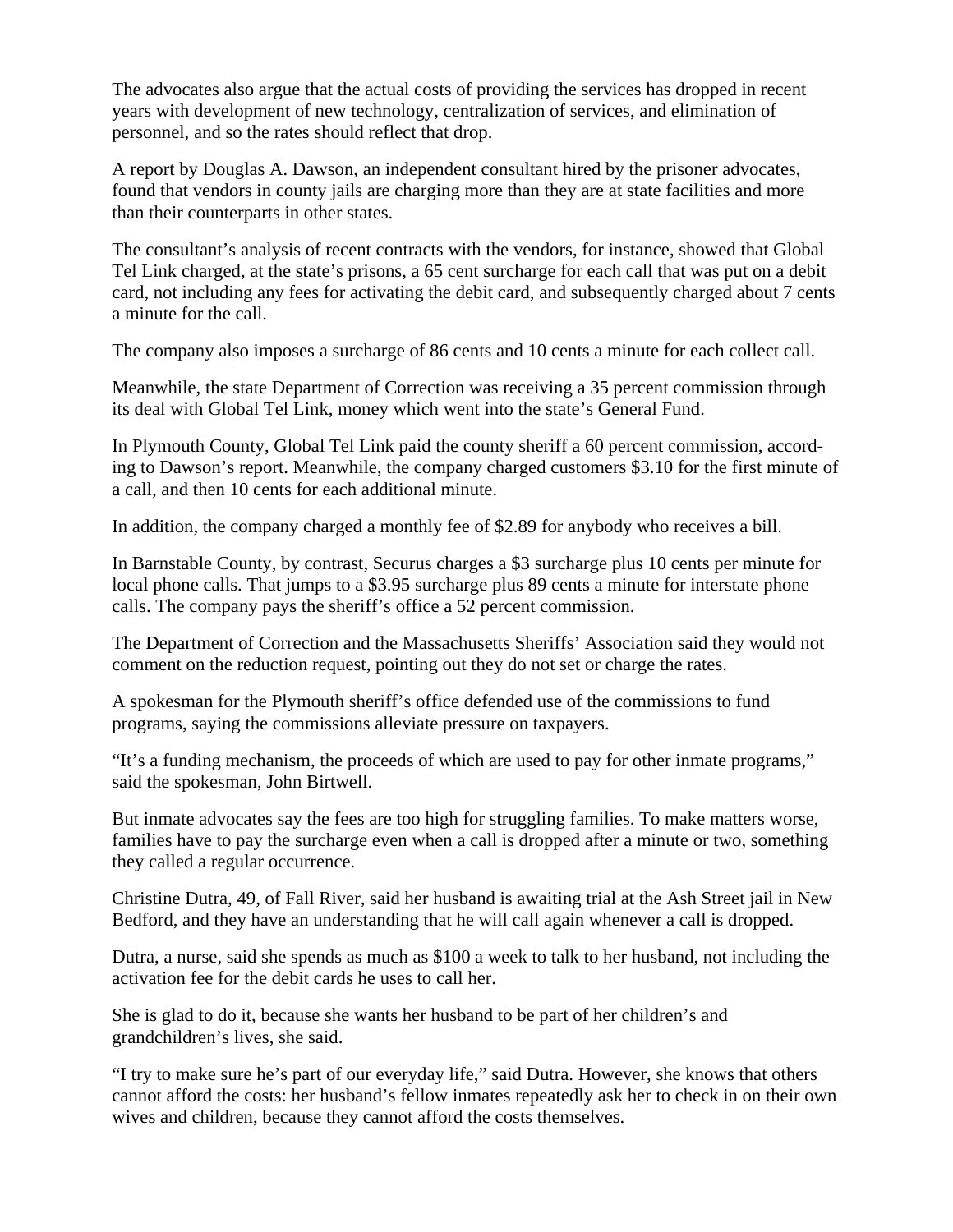The advocates also argue that the actual costs of providing the services has dropped in recent years with development of new technology, centralization of services, and elimination of personnel, and so the rates should reflect that drop.

A report by Douglas A. Dawson, an independent consultant hired by the prisoner advocates, found that vendors in county jails are charging more than they are at state facilities and more than their counterparts in other states.

The consultant's analysis of recent contracts with the vendors, for instance, showed that Global Tel Link charged, at the state's prisons, a 65 cent surcharge for each call that was put on a debit card, not including any fees for activating the debit card, and subsequently charged about 7 cents a minute for the call.

The company also imposes a surcharge of 86 cents and 10 cents a minute for each collect call.

Meanwhile, the state Department of Correction was receiving a 35 percent commission through its deal with Global Tel Link, money which went into the state's General Fund.

In Plymouth County, Global Tel Link paid the county sheriff a 60 percent commission, according to Dawson's report. Meanwhile, the company charged customers \$3.10 for the first minute of a call, and then 10 cents for each additional minute.

In addition, the company charged a monthly fee of \$2.89 for anybody who receives a bill.

In Barnstable County, by contrast, Securus charges a \$3 surcharge plus 10 cents per minute for local phone calls. That jumps to a \$3.95 surcharge plus 89 cents a minute for interstate phone calls. The company pays the sheriff's office a 52 percent commission.

The Department of Correction and the Massachusetts Sheriffs' Association said they would not comment on the reduction request, pointing out they do not set or charge the rates.

A spokesman for the Plymouth sheriff's office defended use of the commissions to fund programs, saying the commissions alleviate pressure on taxpayers.

"It's a funding mechanism, the proceeds of which are used to pay for other inmate programs," said the spokesman, John Birtwell.

But inmate advocates say the fees are too high for struggling families. To make matters worse, families have to pay the surcharge even when a call is dropped after a minute or two, something they called a regular occurrence.

Christine Dutra, 49, of Fall River, said her husband is awaiting trial at the Ash Street jail in New Bedford, and they have an understanding that he will call again whenever a call is dropped.

Dutra, a nurse, said she spends as much as \$100 a week to talk to her husband, not including the activation fee for the debit cards he uses to call her.

She is glad to do it, because she wants her husband to be part of her children's and grandchildren's lives, she said.

"I try to make sure he's part of our everyday life," said Dutra. However, she knows that others cannot afford the costs: her husband's fellow inmates repeatedly ask her to check in on their own wives and children, because they cannot afford the costs themselves.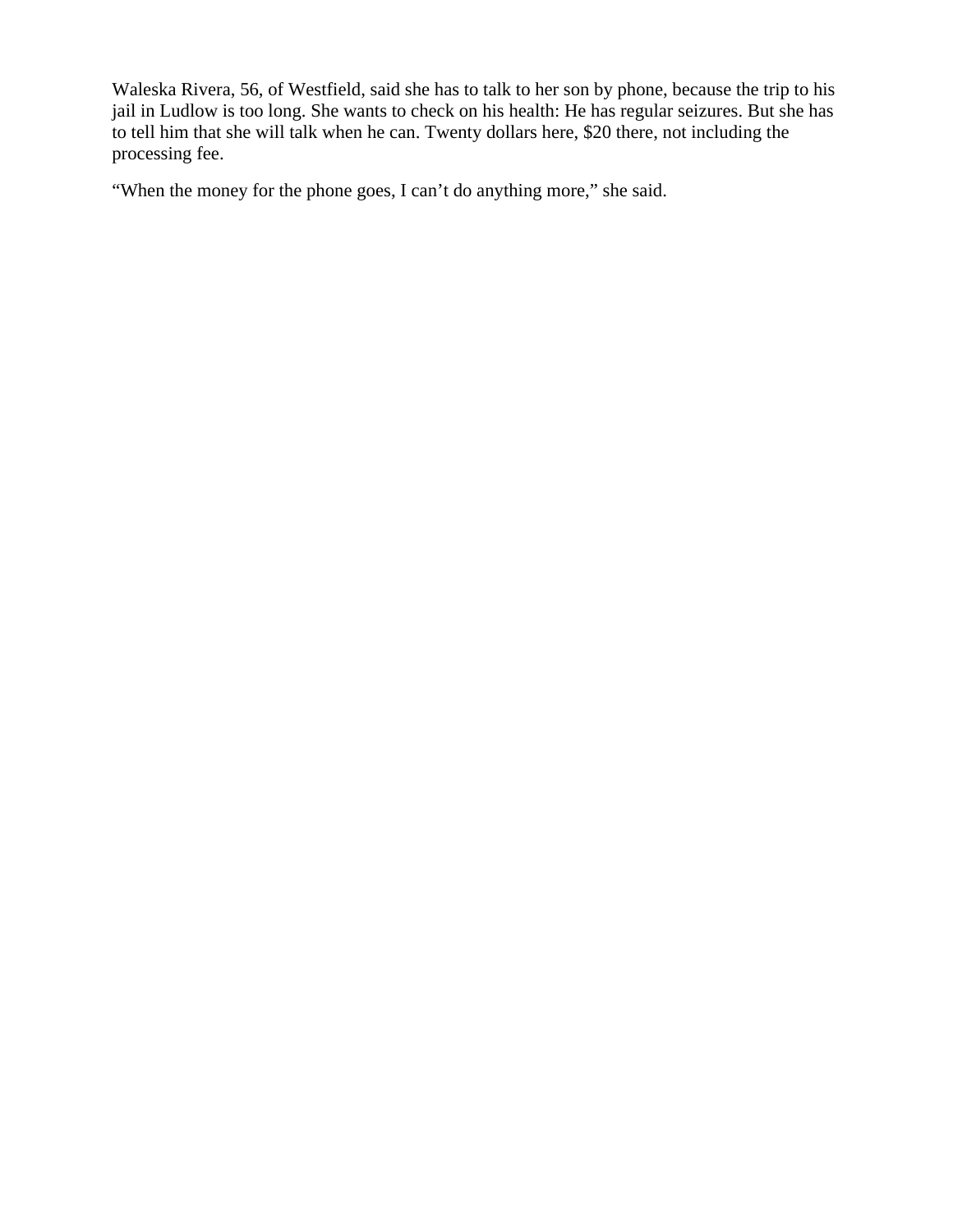Waleska Rivera, 56, of Westfield, said she has to talk to her son by phone, because the trip to his jail in Ludlow is too long. She wants to check on his health: He has regular seizures. But she has to tell him that she will talk when he can. Twenty dollars here, \$20 there, not including the processing fee.

"When the money for the phone goes, I can't do anything more," she said.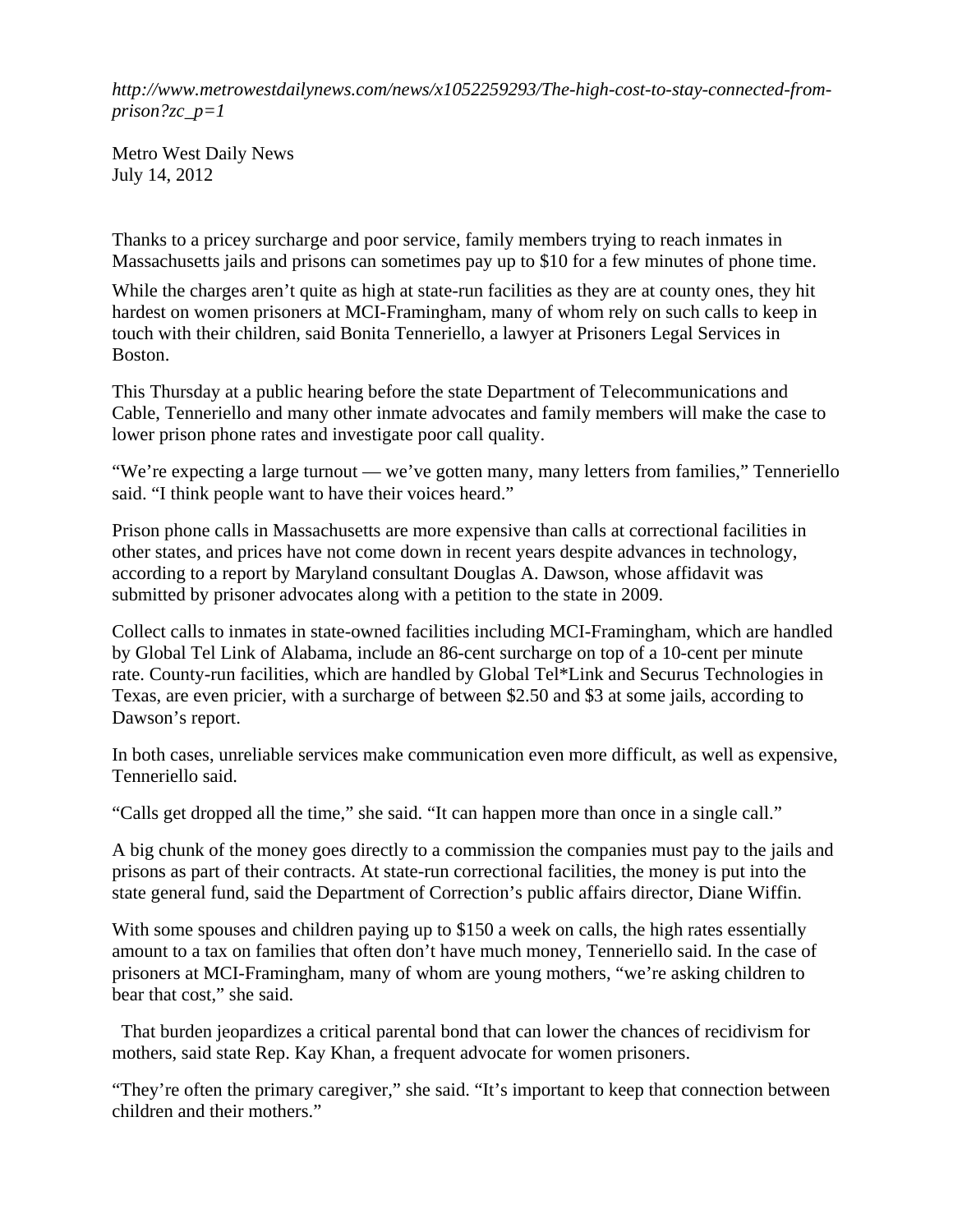*[http://www.metrowestdailynews.com/news/x1052259293/The-high-cost-to-stay-connected-from](http://www.metrowestdailynews.com/news/x1052259293/The-high-cost-to-stay-connected-from-prison?zc_p=1)[prison?zc\\_p=1](http://www.metrowestdailynews.com/news/x1052259293/The-high-cost-to-stay-connected-from-prison?zc_p=1)* 

Metro West Daily News July 14, 2012

Thanks to a pricey surcharge and poor service, family members trying to reach inmates in Massachusetts jails and prisons can sometimes pay up to \$10 for a few minutes of phone time.

While the charges aren't quite as high at state-run facilities as they are at county ones, they hit hardest on women prisoners at MCI-Framingham, many of whom rely on such calls to keep in touch with their children, said Bonita Tenneriello, a lawyer at Prisoners Legal Services in Boston.

This Thursday at a public hearing before the state Department of Telecommunications and Cable, Tenneriello and many other inmate advocates and family members will make the case to lower prison phone rates and investigate poor call quality.

"We're expecting a large turnout — we've gotten many, many letters from families," Tenneriello said. "I think people want to have their voices heard."

Prison phone calls in Massachusetts are more expensive than calls at correctional facilities in other states, and prices have not come down in recent years despite advances in technology, according to a report by Maryland consultant Douglas A. Dawson, whose affidavit was submitted by prisoner advocates along with a petition to the state in 2009.

Collect calls to inmates in state-owned facilities including MCI-Framingham, which are handled by Global Tel Link of Alabama, include an 86-cent surcharge on top of a 10-cent per minute rate. County-run facilities, which are handled by Global Tel\*Link and Securus Technologies in Texas, are even pricier, with a surcharge of between \$2.50 and \$3 at some jails, according to Dawson's report.

In both cases, unreliable services make communication even more difficult, as well as expensive, Tenneriello said.

"Calls get dropped all the time," she said. "It can happen more than once in a single call."

A big chunk of the money goes directly to a commission the companies must pay to the jails and prisons as part of their contracts. At state-run correctional facilities, the money is put into the state general fund, said the Department of Correction's public affairs director, Diane Wiffin.

With some spouses and children paying up to \$150 a week on calls, the high rates essentially amount to a tax on families that often don't have much money, Tenneriello said. In the case of prisoners at MCI-Framingham, many of whom are young mothers, "we're asking children to bear that cost," she said.

 That burden jeopardizes a critical parental bond that can lower the chances of recidivism for mothers, said state Rep. Kay Khan, a frequent advocate for women prisoners.

"They're often the primary caregiver," she said. "It's important to keep that connection between children and their mothers."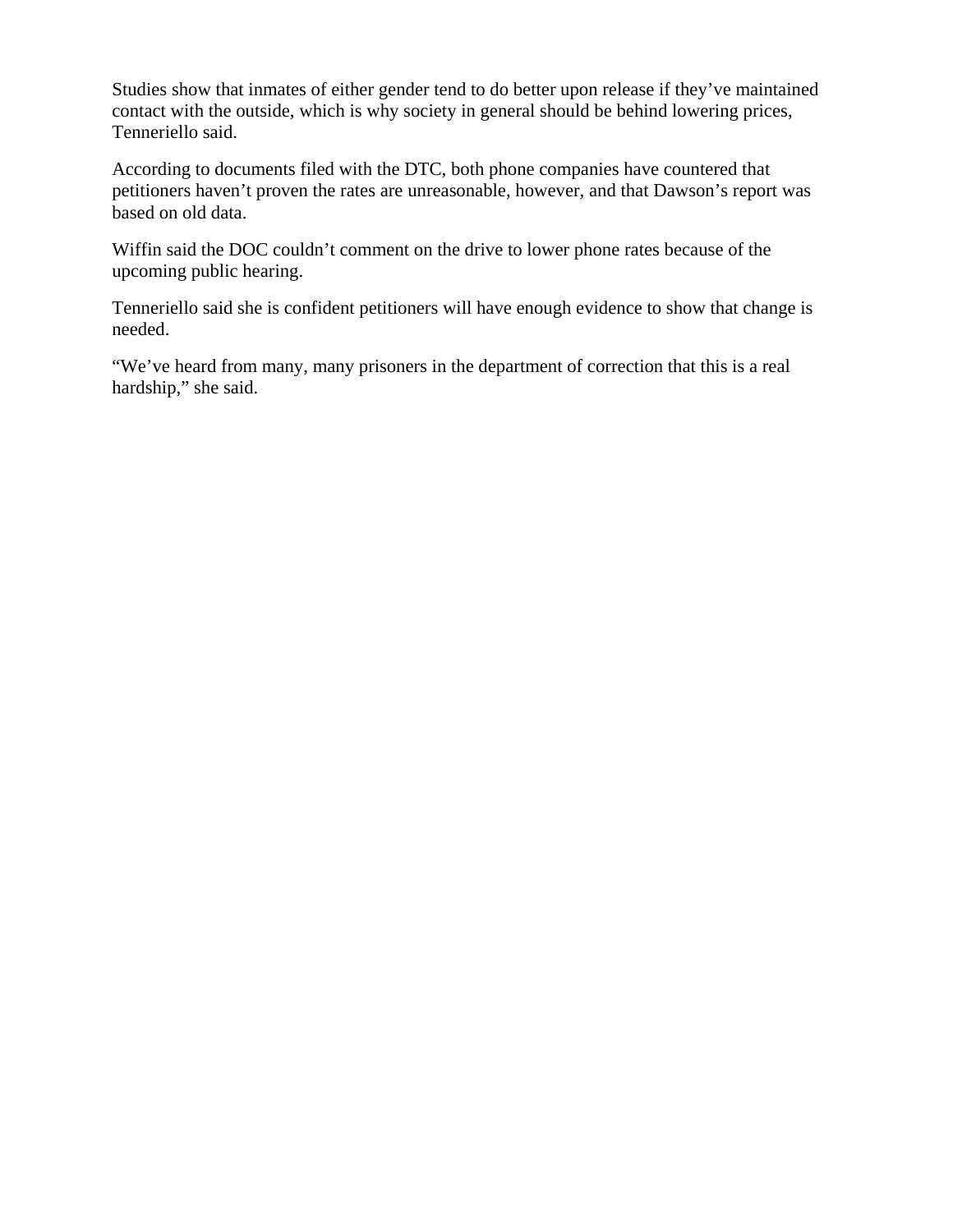Studies show that inmates of either gender tend to do better upon release if they've maintained contact with the outside, which is why society in general should be behind lowering prices, Tenneriello said.

According to documents filed with the DTC, both phone companies have countered that petitioners haven't proven the rates are unreasonable, however, and that Dawson's report was based on old data.

Wiffin said the DOC couldn't comment on the drive to lower phone rates because of the upcoming public hearing.

Tenneriello said she is confident petitioners will have enough evidence to show that change is needed.

"We've heard from many, many prisoners in the department of correction that this is a real hardship," she said.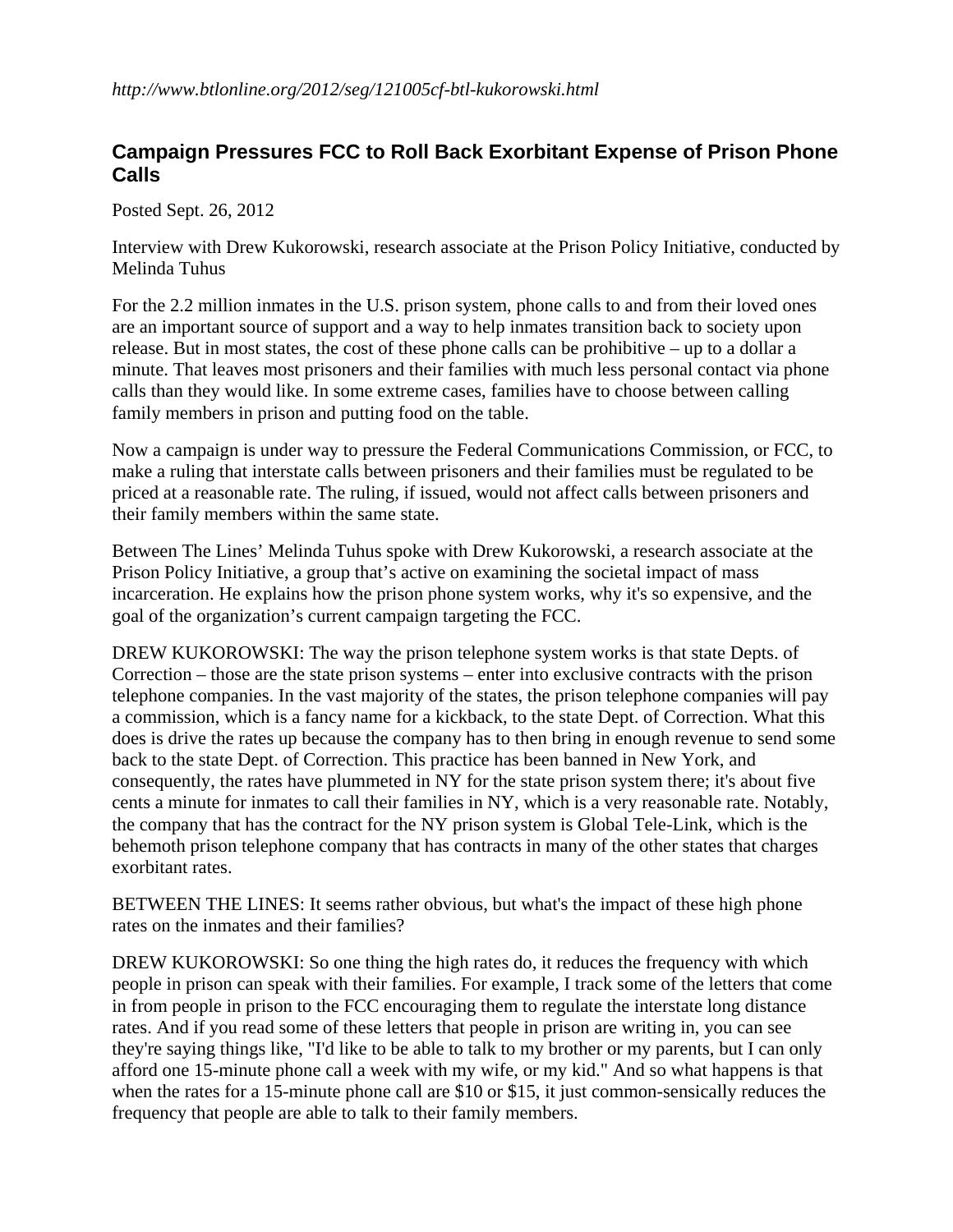### **Campaign Pressures FCC to Roll Back Exorbitant Expense of Prison Phone Calls**

Posted Sept. 26, 2012

Interview with Drew Kukorowski, research associate at the Prison Policy Initiative, conducted by Melinda Tuhus

For the 2.2 million inmates in the U.S. prison system, phone calls to and from their loved ones are an important source of support and a way to help inmates transition back to society upon release. But in most states, the cost of these phone calls can be prohibitive – up to a dollar a minute. That leaves most prisoners and their families with much less personal contact via phone calls than they would like. In some extreme cases, families have to choose between calling family members in prison and putting food on the table.

Now a campaign is under way to pressure the Federal Communications Commission, or FCC, to make a ruling that interstate calls between prisoners and their families must be regulated to be priced at a reasonable rate. The ruling, if issued, would not affect calls between prisoners and their family members within the same state.

Between The Lines' Melinda Tuhus spoke with Drew Kukorowski, a research associate at the Prison Policy Initiative, a group that's active on examining the societal impact of mass incarceration. He explains how the prison phone system works, why it's so expensive, and the goal of the organization's current campaign targeting the FCC.

DREW KUKOROWSKI: The way the prison telephone system works is that state Depts. of Correction – those are the state prison systems – enter into exclusive contracts with the prison telephone companies. In the vast majority of the states, the prison telephone companies will pay a commission, which is a fancy name for a kickback, to the state Dept. of Correction. What this does is drive the rates up because the company has to then bring in enough revenue to send some back to the state Dept. of Correction. This practice has been banned in New York, and consequently, the rates have plummeted in NY for the state prison system there; it's about five cents a minute for inmates to call their families in NY, which is a very reasonable rate. Notably, the company that has the contract for the NY prison system is Global Tele-Link, which is the behemoth prison telephone company that has contracts in many of the other states that charges exorbitant rates.

BETWEEN THE LINES: It seems rather obvious, but what's the impact of these high phone rates on the inmates and their families?

DREW KUKOROWSKI: So one thing the high rates do, it reduces the frequency with which people in prison can speak with their families. For example, I track some of the letters that come in from people in prison to the FCC encouraging them to regulate the interstate long distance rates. And if you read some of these letters that people in prison are writing in, you can see they're saying things like, "I'd like to be able to talk to my brother or my parents, but I can only afford one 15-minute phone call a week with my wife, or my kid." And so what happens is that when the rates for a 15-minute phone call are \$10 or \$15, it just common-sensically reduces the frequency that people are able to talk to their family members.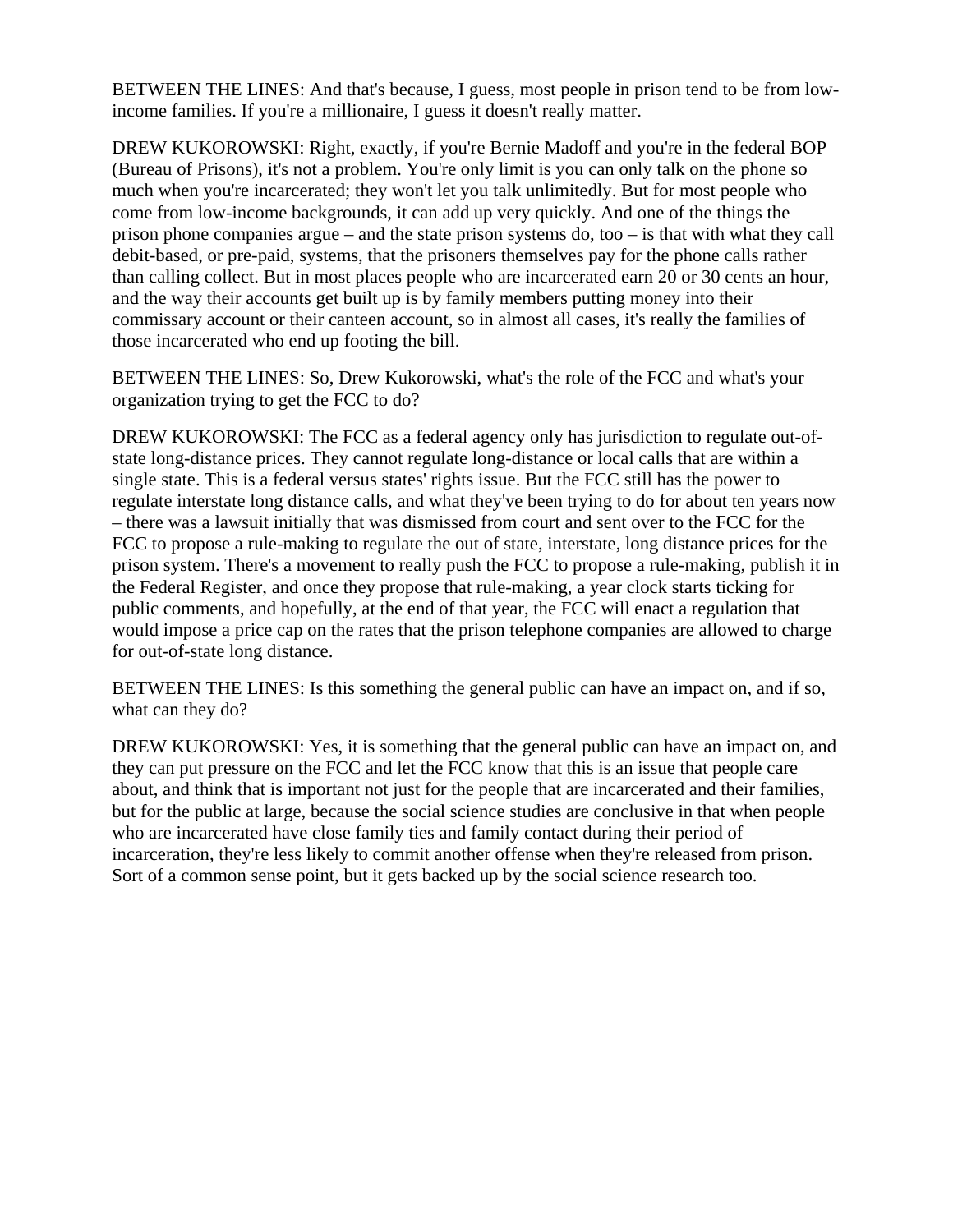BETWEEN THE LINES: And that's because, I guess, most people in prison tend to be from lowincome families. If you're a millionaire, I guess it doesn't really matter.

DREW KUKOROWSKI: Right, exactly, if you're Bernie Madoff and you're in the federal BOP (Bureau of Prisons), it's not a problem. You're only limit is you can only talk on the phone so much when you're incarcerated; they won't let you talk unlimitedly. But for most people who come from low-income backgrounds, it can add up very quickly. And one of the things the prison phone companies argue – and the state prison systems do, too – is that with what they call debit-based, or pre-paid, systems, that the prisoners themselves pay for the phone calls rather than calling collect. But in most places people who are incarcerated earn 20 or 30 cents an hour, and the way their accounts get built up is by family members putting money into their commissary account or their canteen account, so in almost all cases, it's really the families of those incarcerated who end up footing the bill.

BETWEEN THE LINES: So, Drew Kukorowski, what's the role of the FCC and what's your organization trying to get the FCC to do?

DREW KUKOROWSKI: The FCC as a federal agency only has jurisdiction to regulate out-ofstate long-distance prices. They cannot regulate long-distance or local calls that are within a single state. This is a federal versus states' rights issue. But the FCC still has the power to regulate interstate long distance calls, and what they've been trying to do for about ten years now – there was a lawsuit initially that was dismissed from court and sent over to the FCC for the FCC to propose a rule-making to regulate the out of state, interstate, long distance prices for the prison system. There's a movement to really push the FCC to propose a rule-making, publish it in the Federal Register, and once they propose that rule-making, a year clock starts ticking for public comments, and hopefully, at the end of that year, the FCC will enact a regulation that would impose a price cap on the rates that the prison telephone companies are allowed to charge for out-of-state long distance.

BETWEEN THE LINES: Is this something the general public can have an impact on, and if so, what can they do?

DREW KUKOROWSKI: Yes, it is something that the general public can have an impact on, and they can put pressure on the FCC and let the FCC know that this is an issue that people care about, and think that is important not just for the people that are incarcerated and their families, but for the public at large, because the social science studies are conclusive in that when people who are incarcerated have close family ties and family contact during their period of incarceration, they're less likely to commit another offense when they're released from prison. Sort of a common sense point, but it gets backed up by the social science research too.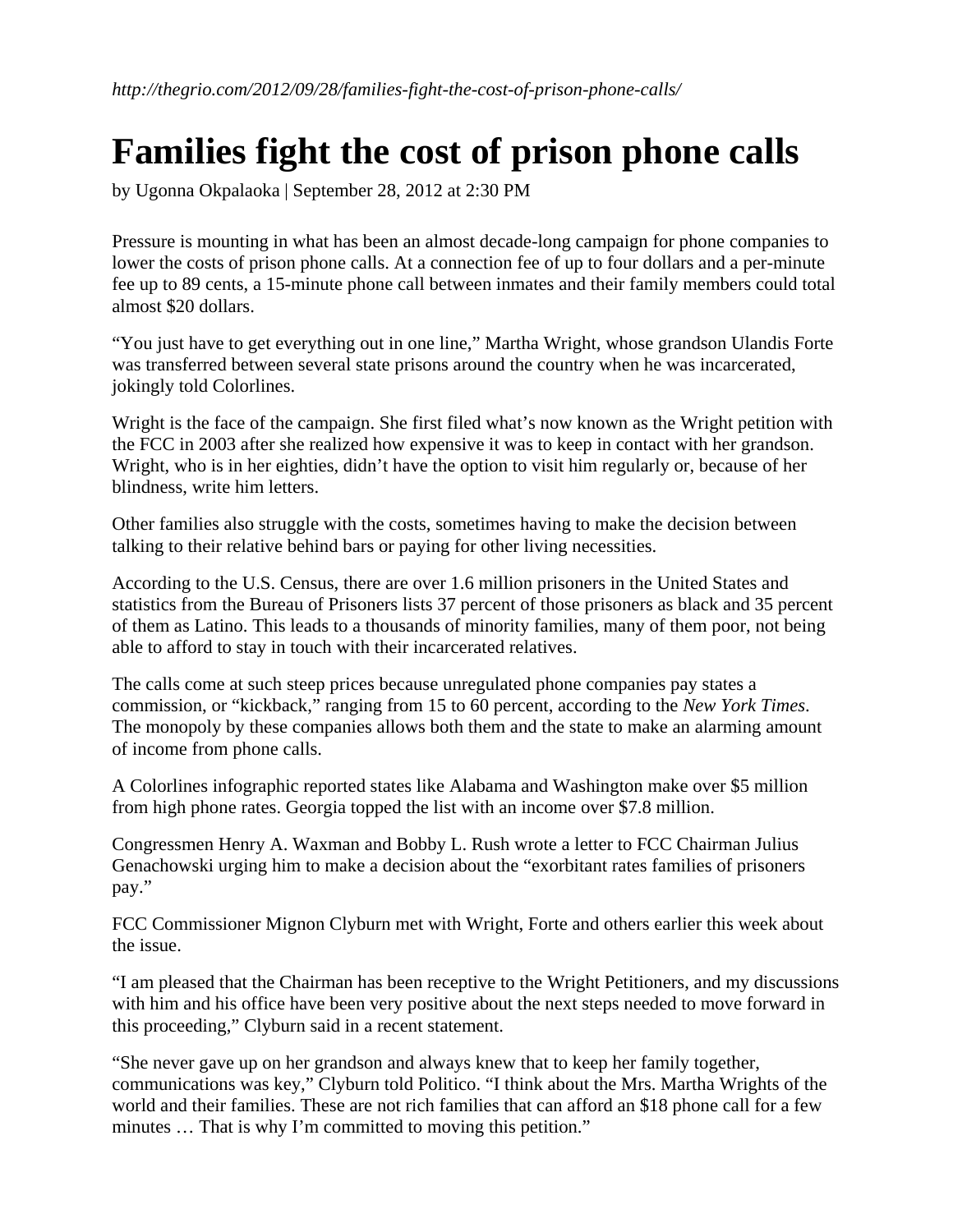## **Families fight the cost of prison phone calls**

by [Ugonna Okpalaoka](http://thegrio.com/author/ugonnaokpalaoka/) | [September 28, 2012 at 2:30 PM](http://thegrio.com/2012/09/28/families-fight-the-cost-of-prison-phone-calls/) 

Pressure is mounting in what has been an almost decade-long campaign for phone companies to lower the costs of prison phone calls. At a connection fee of up to four dollars and a per-minute fee up to 89 cents, a 15-minute phone call between inmates and their family members could total almost \$20 dollars.

"You just have to get everything out in one line," Martha Wright, whose grandson Ulandis Forte was transferred between several state prisons around the country when he was incarcerated, [jokingly told Colorlines.](http://colorlines.com/archives/2012/05/prison_phone_rates.html)

Wright is the face of the campaign. She first filed what's now known as the Wright petition with the FCC in 2003 after she realized how expensive it was to keep in contact with her grandson. Wright, who is in her eighties, didn't have the option to visit him regularly or, because of her blindness, write him letters.

Other families also struggle with the costs, sometimes having to make the decision between talking to their relative behind bars or paying for other living necessities.

According to the U.S. Census, there are over [1.6 million prisoners](http://www.census.gov/compendia/statab/2012/tables/12s0347.pdf) in the United States and statistics from the Bureau of Prisoners lists 37 percent of those prisoners as black and 35 percent of them as Latino. This leads to a thousands of minority families, many of them poor, not being able to afford to stay in touch with their incarcerated relatives.

The calls come at such steep prices because unregulated phone companies pay states a commission, or "kickback," ranging from 15 to 60 percent, [according to the](http://www.nytimes.com/2012/09/24/opinion/costly-phone-calls-for-state-inmates.html?_r=1&) *New York Times*. The monopoly by these companies allows both them and the state to make an alarming amount of income from phone calls.

A [Colorlines infographic reported](http://colorlines.com/archives/2012/09/families_urge_the_fcc_to_lower_price_of_prison_phone_calls.html?utm_source=feedburner&utm_medium=feed&utm_campaign=Feed%3A+racewireblog+%28ColorLines%29&utm_content=Google+Reader) states like Alabama and Washington make over \$5 million from high phone rates. Georgia topped the list with an income over \$7.8 million.

Congressmen Henry A. Waxman and Bobby L. Rush wrote a letter to FCC Chairman Julius Genachowski urging him to make a decision about the "exorbitant rates families of prisoners pay."

FCC Commissioner Mignon Clyburn met with Wright, Forte and others earlier this week about the issue.

"I am pleased that the Chairman has been receptive to the Wright Petitioners, and my discussions with him and his office have been very positive about the next steps needed to move forward in this proceeding," Clyburn said in a recent statement.

"She never gave up on her grandson and always knew that to keep her family together, communications was key," Clyburn told Politico. "I think about the Mrs. Martha Wrights of the world and their families. These are not rich families that can afford an \$18 phone call for a few minutes ... That is why I'm committed to moving this petition."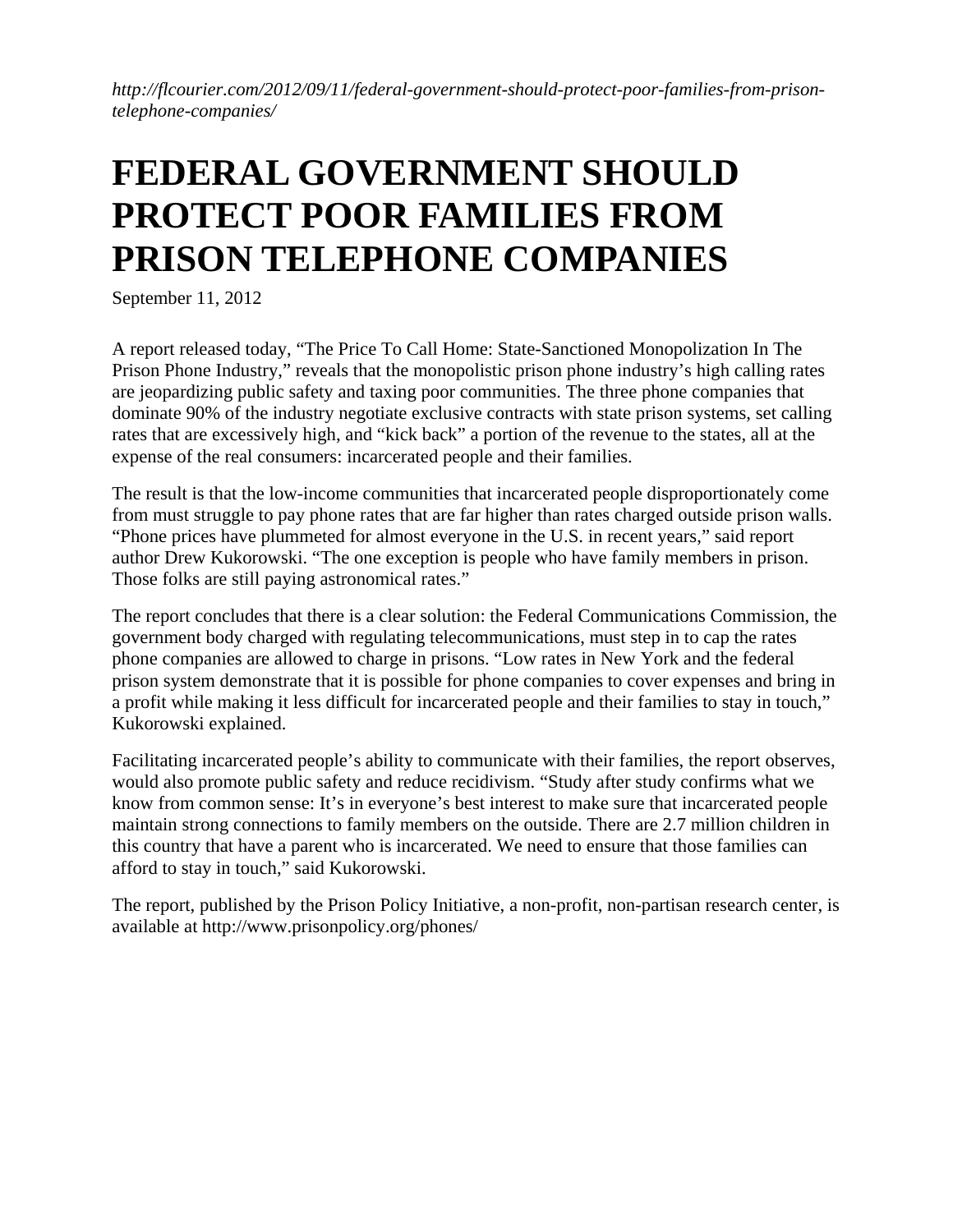*http://flcourier.com/2012/09/11/federal-government-should-protect-poor-families-from-prisontelephone-companies/* 

# **FEDERAL GOVERNMENT SHOULD PROTECT POOR FAMILIES FROM PRISON TELEPHONE COMPANIES**

September 11, 2012

A report released today, "The Price To Call Home: State-Sanctioned Monopolization In The Prison Phone Industry," reveals that the monopolistic prison phone industry's high calling rates are jeopardizing public safety and taxing poor communities. The three phone companies that dominate 90% of the industry negotiate exclusive contracts with state prison systems, set calling rates that are excessively high, and "kick back" a portion of the revenue to the states, all at the expense of the real consumers: incarcerated people and their families.

The result is that the low-income communities that incarcerated people disproportionately come from must struggle to pay phone rates that are far higher than rates charged outside prison walls. "Phone prices have plummeted for almost everyone in the U.S. in recent years," said report author Drew Kukorowski. "The one exception is people who have family members in prison. Those folks are still paying astronomical rates."

The report concludes that there is a clear solution: the Federal Communications Commission, the government body charged with regulating telecommunications, must step in to cap the rates phone companies are allowed to charge in prisons. "Low rates in New York and the federal prison system demonstrate that it is possible for phone companies to cover expenses and bring in a profit while making it less difficult for incarcerated people and their families to stay in touch," Kukorowski explained.

Facilitating incarcerated people's ability to communicate with their families, the report observes, would also promote public safety and reduce recidivism. "Study after study confirms what we know from common sense: It's in everyone's best interest to make sure that incarcerated people maintain strong connections to family members on the outside. There are 2.7 million children in this country that have a parent who is incarcerated. We need to ensure that those families can afford to stay in touch," said Kukorowski.

The report, published by the Prison Policy Initiative, a non-profit, non-partisan research center, is available at<http://www.prisonpolicy.org/phones/>